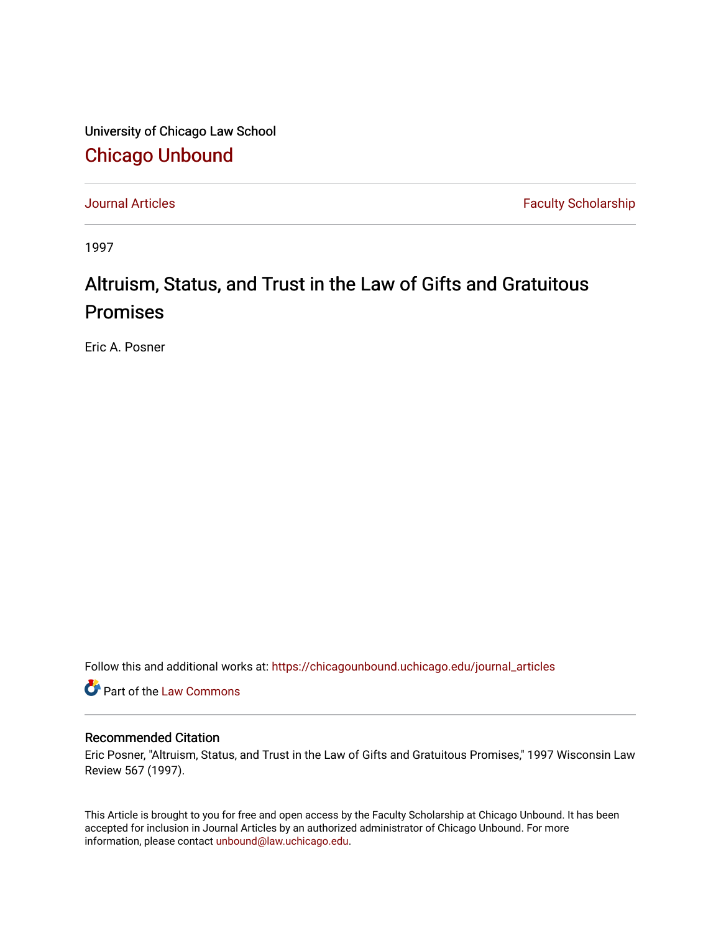University of Chicago Law School [Chicago Unbound](https://chicagounbound.uchicago.edu/)

[Journal Articles](https://chicagounbound.uchicago.edu/journal_articles) **Faculty Scholarship Faculty Scholarship** 

1997

# Altruism, Status, and Trust in the Law of Gifts and Gratuitous Promises

Eric A. Posner

Follow this and additional works at: [https://chicagounbound.uchicago.edu/journal\\_articles](https://chicagounbound.uchicago.edu/journal_articles?utm_source=chicagounbound.uchicago.edu%2Fjournal_articles%2F1784&utm_medium=PDF&utm_campaign=PDFCoverPages) 

Part of the [Law Commons](http://network.bepress.com/hgg/discipline/578?utm_source=chicagounbound.uchicago.edu%2Fjournal_articles%2F1784&utm_medium=PDF&utm_campaign=PDFCoverPages)

## Recommended Citation

Eric Posner, "Altruism, Status, and Trust in the Law of Gifts and Gratuitous Promises," 1997 Wisconsin Law Review 567 (1997).

This Article is brought to you for free and open access by the Faculty Scholarship at Chicago Unbound. It has been accepted for inclusion in Journal Articles by an authorized administrator of Chicago Unbound. For more information, please contact [unbound@law.uchicago.edu](mailto:unbound@law.uchicago.edu).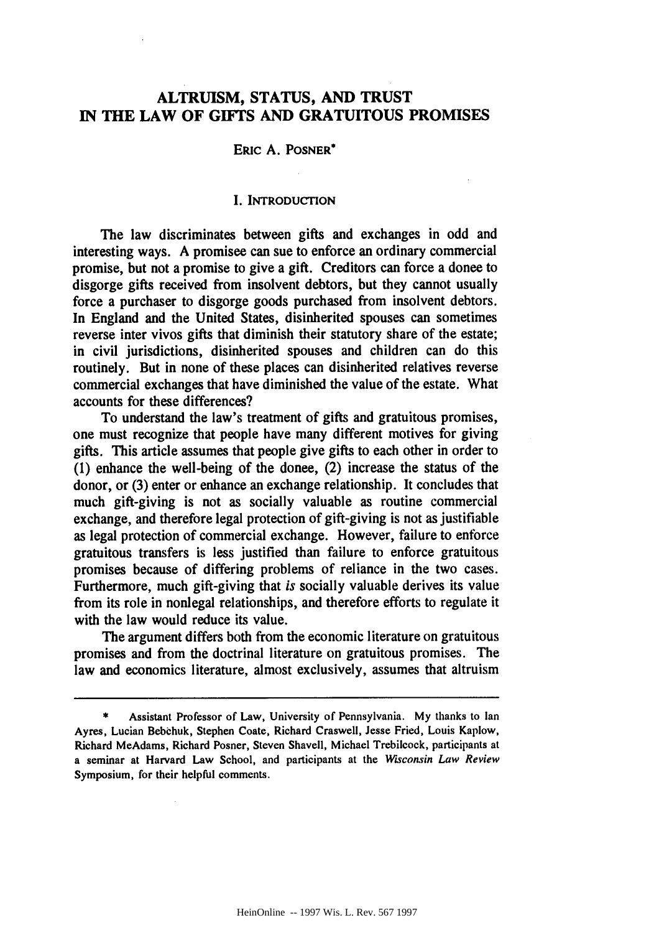# **ALTRUISM, STATUS, AND TRUST IN THE LAW OF GIFTS AND GRATUITOUS PROMISES**

## ERIC **A. POSNER\***

## I. INTRODUCTION

The law discriminates between gifts and exchanges in odd and interesting ways. A promisee can sue to enforce an ordinary commercial promise, but not a promise to give a gift. Creditors can force a donee to disgorge gifts received from insolvent debtors, but they cannot usually force a purchaser to disgorge goods purchased from insolvent debtors. In England and the United States, disinherited spouses can sometimes reverse inter vivos gifts that diminish their statutory share of the estate; in civil jurisdictions, disinherited spouses and children can do this routinely. But in none of these places can disinherited relatives reverse commercial exchanges that have diminished the value of the estate. What accounts for these differences?

To understand the law's treatment of gifts and gratuitous promises, one must recognize that people have many different motives for giving gifts. This article assumes that people give gifts to each other in order to **(1)** enhance the well-being of the donee, (2) increase the status of the donor, or (3) enter or enhance an exchange relationship. It concludes that much gift-giving is not as socially valuable as routine commercial exchange, and therefore legal protection of gift-giving is not as justifiable as legal protection of commercial exchange. However, failure to enforce gratuitous transfers is less justified than failure to enforce gratuitous promises because of differing problems of reliance in the two cases. Furthermore, much gift-giving that *is* socially valuable derives its value from its role in nonlegal relationships, and therefore efforts to regulate it with the law would reduce its value.

The argument differs both from the economic literature on gratuitous promises and from the doctrinal literature on gratuitous promises. The law and economics literature, almost exclusively, assumes that altruism

Assistant Professor of Law, University of Pennsylvania. My thanks to Ian Ayres, Lucian Bebehuk, Stephen Coate, Richard Craswell, Jesse Fried, Louis Kaplow, Richard McAdams, Richard Posner, Steven Shavell, Michael Trebiicock, participants at a seminar at Harvard Law School, and participants at the *Wisconsin Law Review* Symposium, for their helpful comments.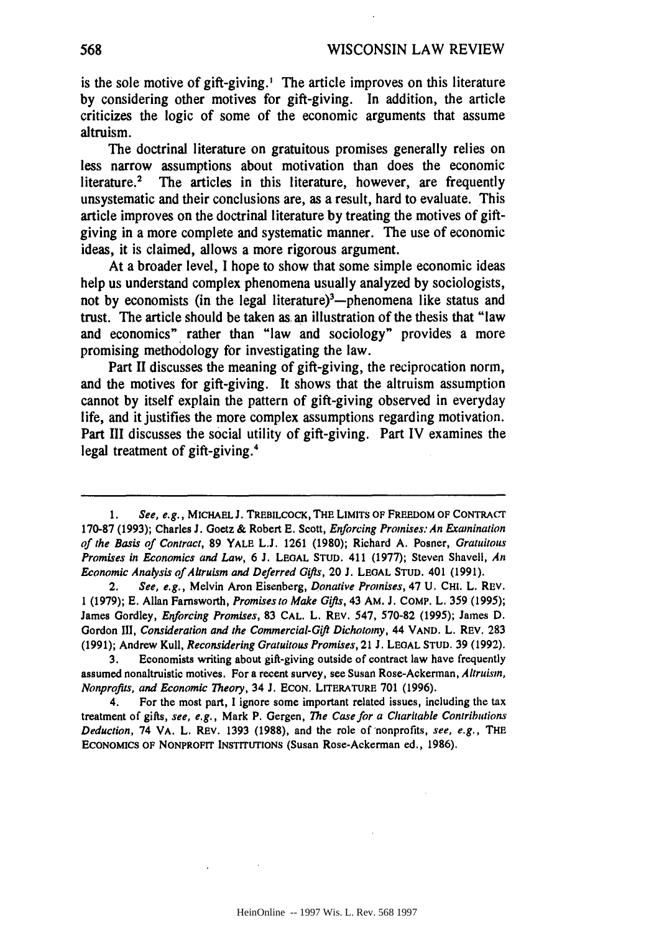is the sole motive of gift-giving.' The article improves on this literature by considering other motives for gift-giving. In addition, the article criticizes the logic of some of the economic arguments that assume altruism.

The doctrinal literature on gratuitous promises generally relies on less narrow assumptions about motivation than does the economic literature.<sup>2</sup> The articles in this literature, however, are frequently unsystematic and their conclusions are, as a result, hard to evaluate. This article improves on the doctrinal literature by treating the motives of giftgiving in a more complete and systematic manner. The use of economic ideas, it is claimed, allows a more rigorous argument.

At a broader level, I hope to show that some simple economic ideas help us understand complex phenomena usually analyzed by sociologists, not by economists (in the legal literature)<sup>3</sup>—phenomena like status and trust. The article should be taken as. an illustration of the thesis that "law and economics" rather than "law and sociology" provides a more promising methodology for investigating the law.

Part II discusses the meaning of gift-giving, the reciprocation norm, and the motives for gift-giving. It shows that the altruism assumption cannot by itself explain the pattern of gift-giving observed in everyday life, and it justifies the more complex assumptions regarding motivation. Part III discusses the social utility of gift-giving. Part IV examines the legal treatment of gift-giving.<sup>4</sup>

**3.** Economists writing about gift-giving outside of contract law have frequently assumed nonaltruistic motives. For a recent survey, see Susan Rose-Ackerman, *Altruism, Nonprofits, and Economic Theory,* 34 **J. ECON. LITERATURE** 701 **(1996).**

4. For the most part, I ignore some important related issues, including the tax treatment of gifts, *see, e.g.,* Mark P. Gergen, *The Case for a Charitable Contributions Deduction,* **74** VA. L. REV. **1393 (1988), and** the role of'nonprofits, *see, e.g.,* THE **ECONOMICS OF** NONPROFIT **INSTITUTIONS (Susan Rose-Ackerman ed., 1986).**

<sup>1.</sup> *See, e.g.,* **MICHAEL J. TREBILCOCK, THE LIMITS OF FREEDOM OF** CONTRACT **170-87 (1993);** Charles **J.** Goetz & Robert **E. Scott,** *Enforcing Promises: An Examination of the Basis of Contract,* **89** YALE **L.J. 1261 (1980);** Richard **A.** Posner, Gratuitous *Promises in Economics and Law,* **6 J. LEOAL STUD. 411 (1977);** Steven Shavell, *An Economic Analysis of Altruism and Deferred Gifts,* 20 **J. LEOAL STUD.** 401 **(1991).**

<sup>2.</sup> *See, e.g.,* Melvin Aron Eisenberg, *Donative Promises,* **47 U. CHI.** L. REV. **1 (1979); E.** Allan Farnsworth, *Promises to Make Gifts,* 43 AM. **J.** COMP. L. **359 (1995);** James Gordley, *Enforcing Promises,* **83 CAL.** L. REV. 547, **570-82 (1995);** James **D.** Gordon *111, Consideration and the Commercial-Gift Dichotomy,* 44 **VAND.** L. REV. **283 (1991);** Andrew Kull, *Reconsidering Gratuitous Promises,* **21 J. LEOAL STUD. 39 (1992).**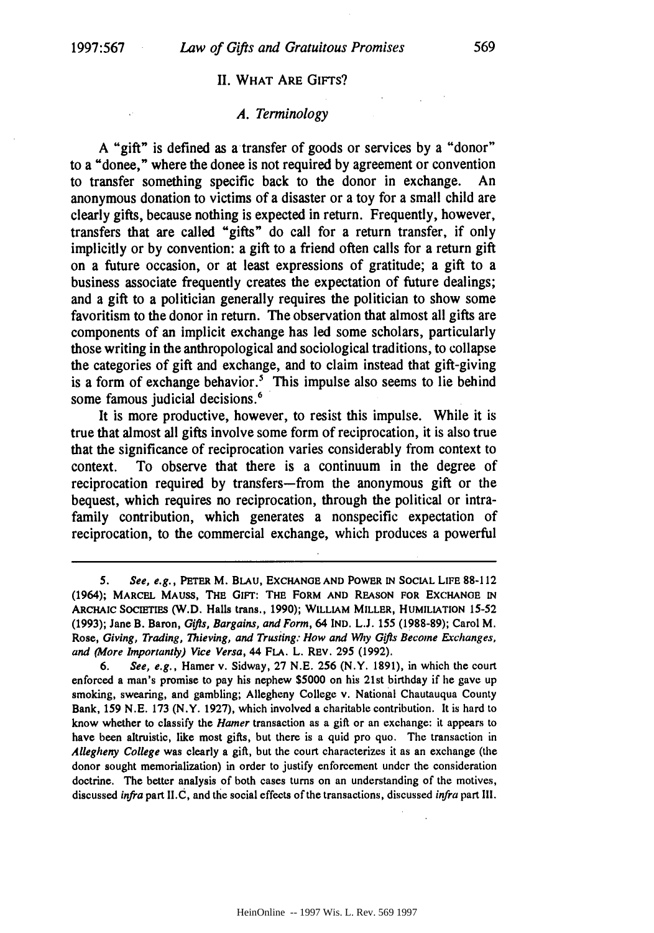#### **II.** WHAT ARE GIFTS?

#### *A. Terminology*

A "gift" is defined as a transfer of goods or services by a "donor" to a "donee," where the donee is not required by agreement or convention to transfer something specific back to the donor in exchange. An anonymous donation to victims of a disaster or a toy for a small child are clearly gifts, because nothing is expected in return. Frequently, however, transfers that are called "gifts" do call for a return transfer, if only implicitly or by convention: a gift to a friend often calls for a return gift on a future occasion, or at least expressions of gratitude; a gift to a business associate frequently creates the expectation of future dealings; and a gift to a politician generally requires the politician to show some favoritism to the donor in return. The observation that almost all gifts are components of an implicit exchange has led some scholars, particularly those writing in the anthropological and sociological traditions, to collapse the categories of gift and exchange, and to claim instead that gift-giving is a form of exchange behavior.<sup>5</sup> This impulse also seems to lie behind some famous judicial decisions.<sup>6</sup>

It is more productive, however, to resist this impulse. While it is true that almost all gifts involve some form of reciprocation, it is also true that the significance of reciprocation varies considerably from context to context. To observe that there is a continuum in the degree of reciprocation required by transfers-from the anonymous gift or the bequest, which requires no reciprocation, through the political or intrafamily contribution, which generates a nonspecific expectation of reciprocation, to the commercial exchange, which produces a powerful

*<sup>5.</sup>* See, **e.g., PETER** M. BLAU, **EXCHANGE AND** POWER **IN SOCIAL** LIFE **88-112** (1964); **MARCEL MAUSS, THE GIFT: THE FORM AND REASON FOR EXCHANGE IN ARCHAIC SOCIETIES** (W.D. Halls trans., **1990); WILLIAM MILLER, HUMILIATION 15-52 (1993);** Jane B. Baron, **Gifts, Bargains,** *and Form,* 64 **IND. L.J. 155 (1988-89);** Carol M. Rose, Giving, *Trading, Thieving, and Trusiing: How and Wy Gifis Become Exchanges, and (More Importantly) Vice Versa,* 44 **FLA.** L. REV. 295 (1992).

<sup>6.</sup> *See, e.g.,* Hamer v. Sidway, 27 N.E. 256 (N.Y. 1891), in which the court enforced a man's promise to pay his nephew \$5000 on his 21st birthday if he gave up smoking, swearing, and gambling; Allegheny College v. National Chautauqua County Bank, 159 N.E. 173 (N.Y. 1927), which involved a charitable contribution. It is hard to know whether to classify the *Hamer* transaction as a gift or an exchange: it appears to have been altruistic, like most gifts, but there is a quid pro quo. The transaction in *Allegheny College* was clearly a gift, but the court characterizes it as an exchange (the donor sought memorialization) in order to justify enforcement under the consideration doctrine. The better analysis of both cases turns on an understanding of the motives, discussed *infra* part **II.C,** and the social effects of the transactions, discussed *infra* part Ill.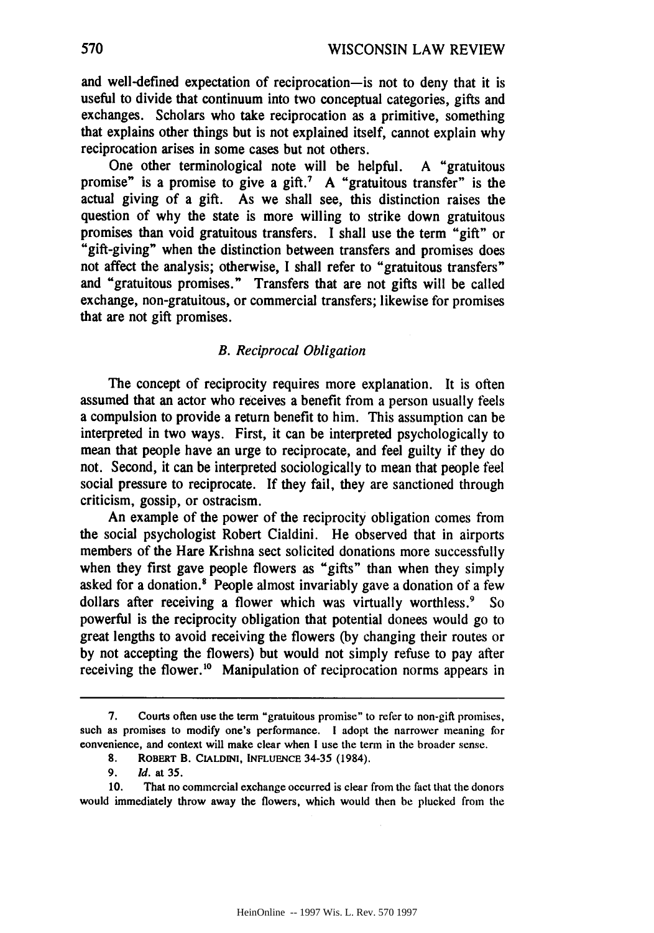and well-defined expectation of reciprocation-is not to deny that it is useful to divide that continuum into two conceptual categories, gifts and exchanges. Scholars who take reciprocation as a primitive, something that explains other things but is not explained itself, cannot explain why reciprocation arises in some cases but not others.

One other terminological note will be helpful. **A** "gratuitous promise" is a promise to give a **gift.7 A** "gratuitous transfer" is the actual giving of a gift. As we shall see, this distinction raises the question of why the state is more willing to strike down gratuitous promises than void gratuitous transfers. **I** shall use the term "gift" or "gift-giving" when the distinction between transfers and promises does not affect the analysis; otherwise, **I** shall refer to "gratuitous transfers" and "gratuitous promises." Transfers that are not gifts will be called exchange, non-gratuitous, or commercial transfers; likewise for promises that are not gift promises.

## *B. Reciprocal Obligation*

The concept of reciprocity requires more explanation. It is often assumed that an actor who receives a benefit from a person usually feels a compulsion to provide a return benefit to him. This assumption can be interpreted in two ways. First, it can be interpreted psychologically to mean that people have an urge to reciprocate, and feel guilty if they do not. Second, it can be interpreted sociologically to mean that people feel social pressure to reciprocate. **If** they fail, they are sanctioned through criticism, gossip, or ostracism.

An example of the power of the reciprocity obligation comes from the social psychologist Robert Cialdini. He observed that in airports members of the Hare Krishna sect solicited donations more successfully when they first gave people flowers as "gifts" than when they simply asked for a donation.<sup>8</sup> People almost invariably gave a donation of a few dollars after receiving a flower which was virtually worthless.<sup>9</sup> So powerful is the reciprocity obligation that potential donees would go to great lengths to avoid receiving the flowers **(by** changing their routes or **by** not accepting the flowers) but would not simply refuse to pay after receiving the flower.<sup>10</sup> Manipulation of reciprocation norms appears in

**<sup>7.</sup>** Courts often use the term "gratuitous promise" to refer to non-gift promises, such as promises to modify one's performance. **I** adopt the narrower meaning for convenience, and context will make clear when I use the term in the broader sense.

**<sup>8.</sup> RoBERT** B. **CIALDINI, INFLUENCE 34-35** (1984).

<sup>9.</sup> **Id.** at **35.**

**<sup>10.</sup>** That no commercial exchange occurred is clear from the fact that the donors would immediately throw away the flowers, which would then **be** plucked from the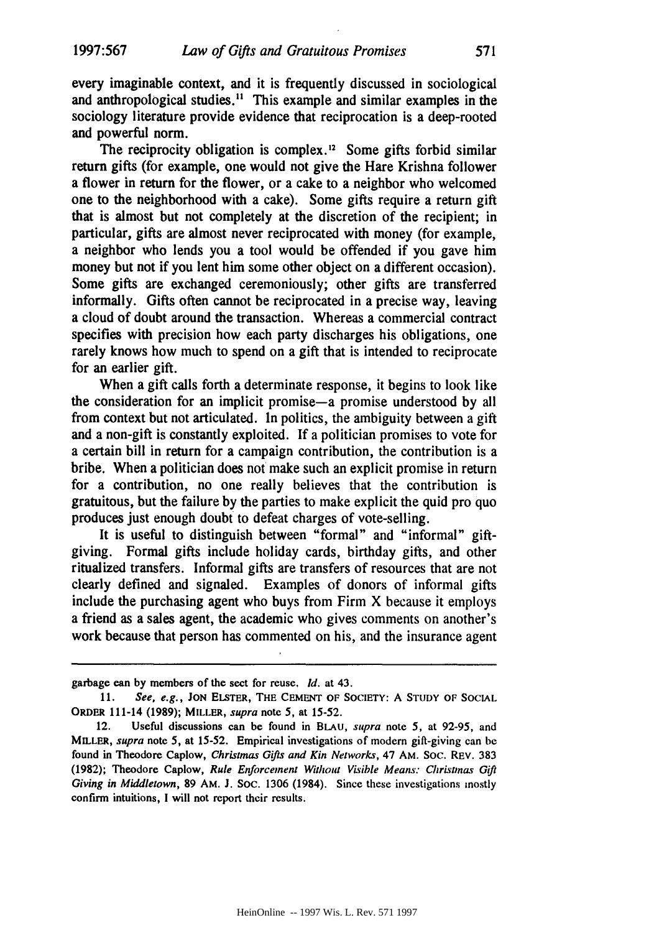every imaginable context, and it is frequently discussed in sociological and anthropological studies.<sup>11</sup> This example and similar examples in the sociology literature provide evidence that reciprocation is a deep-rooted and powerful norm.

The reciprocity obligation is complex.<sup>12</sup> Some gifts forbid similar return gifts (for example, one would not give the Hare Krishna follower a flower in return for the flower, or a cake to a neighbor who welcomed one to the neighborhood with a cake). Some gifts require a return gift that is almost but not completely at the discretion of the recipient; in particular, gifts are almost never reciprocated with money (for example, a neighbor who lends you a tool would be offended if you gave him money but not if you lent him some other object on a different occasion). Some gifts are exchanged ceremoniously; other gifts are transferred informally. Gifts often cannot be reciprocated in a precise way, leaving a cloud of doubt around the transaction. Whereas a commercial contract specifies with precision how each party discharges his obligations, one rarely knows how much to spend on a gift that is intended to reciprocate for an earlier gift.

When a gift calls forth a determinate response, it begins to look like the consideration for an implicit promise-a promise understood **by** all from context but not articulated. In politics, the ambiguity between a gift and a non-gift is constantly exploited. **If** a politician promises to vote for a certain bill in return for a campaign contribution, the contribution is a bribe. When a politician does not make such an explicit promise in return for a contribution, no one really believes that the contribution is gratuitous, but the failure **by** the parties to make explicit the quid pro quo produces just enough doubt to defeat charges of vote-selling.

It is useful to distinguish between "formal" and "informal" giftgiving. Formal gifts include holiday cards, birthday gifts, and other ritualized transfers. Informal gifts are transfers of resources that are not clearly defined and signaled. Examples of donors of informal gifts include the purchasing agent who buys from Firm X because it employs a friend as a sales agent, the academic who gives comments on another's work because that person has commented on his, and the insurance agent

garbage **can by members of** the sect for reuse. *id.* at 43.

**<sup>11.</sup> See,** e.g., **JON ELSTER,** THE **CEMENT** OF SOCIETY: **A** STUDY OF **SOCIAL** ORDER 111-14 **(1989);** MILLER, supra note *5,* at 15-52.

<sup>12.</sup> Useful discussions can be found in **BLAU,** supra note 5, at 92-95, and MILLER, supra note 5, at 15-52. Empirical investigations of modern gift-giving can be found in Theodore Caplow, *Christmas Gifts and Kin Networks,* 47 **AM.** Soc. REV. **383 (1982);** Theodore Caplow, *Rule Enforcement Without Visible Means: Christmas Gifl Giving in Middletown,* **89 AM. J.** SOC. 1306 (1984). Since these investigations mostly confirm intuitions, **I** will not report their results.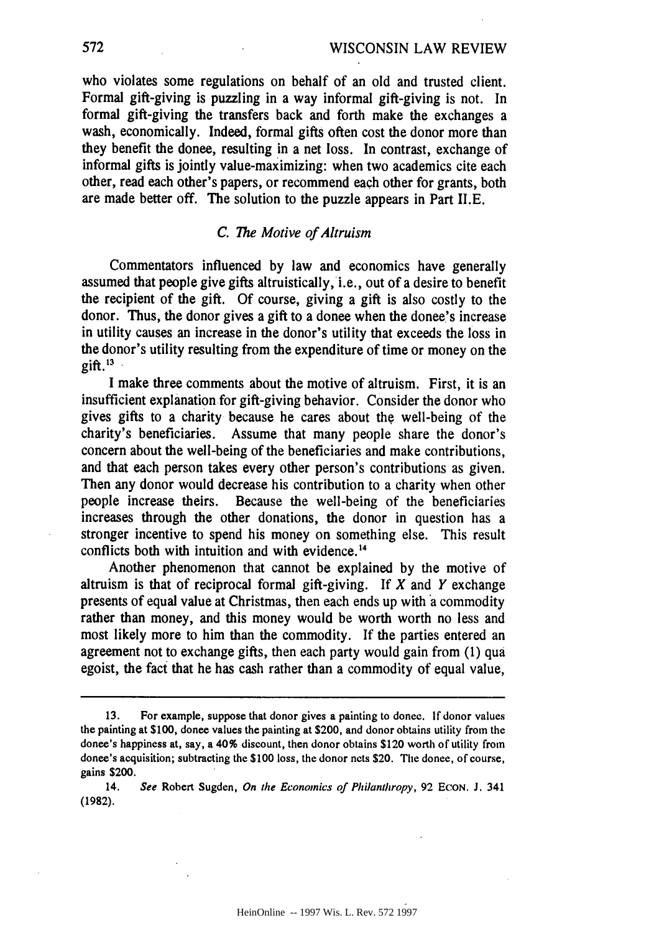who violates some regulations on behalf of an old and trusted client. Formal gift-giving is puzzling in a way informal gift-giving is not. In formal gift-giving the transfers back and forth make the exchanges a wash, economically. Indeed, formal gifts often cost the donor more than they benefit the donee, resulting in a net loss. In contrast, exchange of informal gifts is jointly value-maximizing: when two academics cite each other, read each other's papers, or recommend each other for grants, both are made better off. The solution to the puzzle appears in Part II.E.

## *C. The Motive of Altruism*

Commentators influenced by law and economics have generally assumed that people give gifts altruistically, i.e., out of a desire to benefit the recipient of the gift. Of course, giving a gift is also costly to the donor. Thus, the donor gives a gift to a donee when the donee's increase in utility causes an increase in the donor's utility that exceeds the loss in the donor's utility resulting from the expenditure of time or money on the gift. $13$ 

I make three comments about the motive of altruism. First, it is an insufficient explanation for gift-giving behavior. Consider the donor who gives gifts to a charity because he cares about the well-being of the charity's beneficiaries. Assume that many people share the donor's concern about the well-being of the beneficiaries and make contributions, and that each person takes every other person's contributions as given. Then any donor would decrease his contribution to a charity when other people increase theirs. Because the well-being of the beneficiaries increases through the other donations, the donor in question has a stronger incentive to spend his money on something else. This result conflicts both with intuition and with evidence.<sup>14</sup>

Another phenomenon that cannot be explained **by** the motive of altruism is that of reciprocal formal gift-giving. If *X* and *Y* exchange presents of equal value at Christmas, then each ends up with a commodity rather than money, and this money would be worth worth no less and most likely more to him than the commodity. If the parties entered an agreement not to exchange gifts, then each party would gain from **(1)** qua egoist, the fact that he has cash rather than a commodity of equal value,

14. *See* Robert Sugden, *On the Economics of Philanthropy,* **92 ECON. J.** 341 **(1982).**

572

**<sup>13.</sup>** For example, suppose that donor gives a painting to donee. **If** donor values the painting at **\$100,** donee values the painting at \$200, and donor obtains utility from the donee's happiness at, say, a 40% discount, then donor obtains \$120 worth of utility from donee's acquisition; subtracting the **\$100** loss, the donor nets \$20. The donee, of course, gains \$200.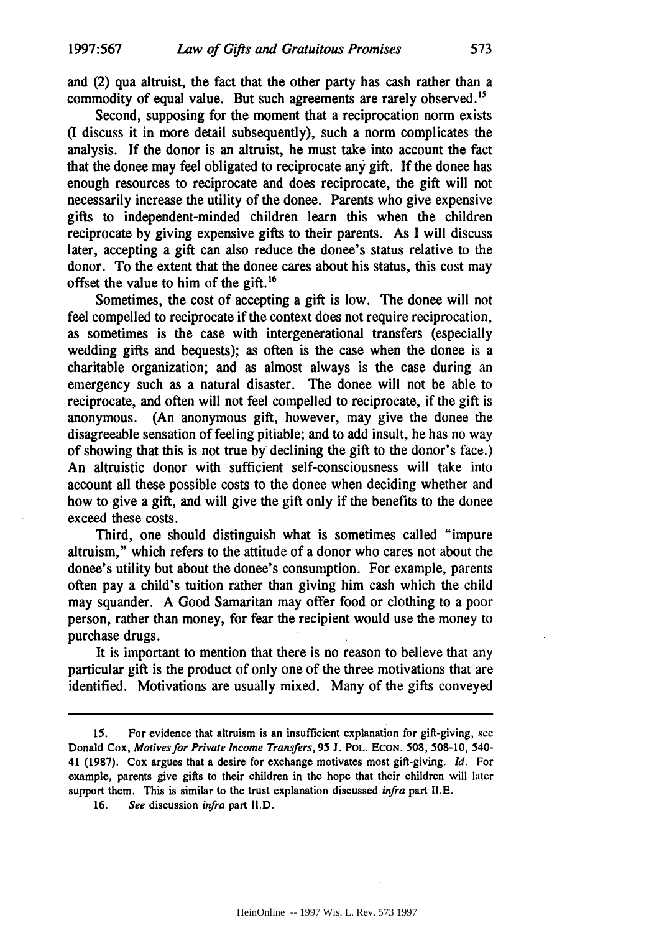and (2) qua altruist, the fact that the other party has cash rather than a commodity of equal value. But such agreements are rarely observed.'

Second, supposing for the moment that a reciprocation norm exists (I discuss it in more detail subsequently), such a norm complicates the analysis. If the donor is an altruist, he must take into account the fact that the donee may feel obligated to reciprocate any gift. **If** the donee has enough resources to reciprocate and does reciprocate, the gift will not necessarily increase the utility of the donee. Parents who give expensive gifts to independent-minded children learn this when the children reciprocate by giving expensive gifts to their parents. As I will discuss later, accepting a gift can also reduce the donee's status relative to the donor. To the extent that the donee cares about his status, this cost may offset the value to him of the gift.'<sup>6</sup>

Sometimes, the cost of accepting a gift is low. The donee will not feel compelled to reciprocate if the context does not require reciprocation, as sometimes is the case with intergenerational transfers (especially wedding gifts and bequests); as often is the case when the donee is a charitable organization; and as almost always is the case during an emergency such as a natural disaster. The donee will not be able to reciprocate, and often will not feel compelled to reciprocate, if the gift is anonymous. (An anonymous gift, however, may give the donee the disagreeable sensation of feeling pitiable; and to add insult, he has no way of showing that this is not true by declining the gift to the donor's face.) An altruistic donor with sufficient self-consciousness will take into account all these possible costs to the donee when deciding whether and how to give a gift, and will give the gift only if the benefits to the donee exceed these costs.

Third, one should distinguish what is sometimes called "impure altruism," which refers to the attitude of a donor who cares not about the donee's utility but about the donee's consumption. For example, parents often pay a child's tuition rather than giving him cash which the child may squander. **A** Good Samaritan may offer food or clothing to a poor person, rather than money, for fear the recipient would use the money to purchase drugs.

It is important to mention that there is no reason to believe that any particular gift is the product of only one of the three motivations that are identified. Motivations are usually mixed. Many of the gifts conveyed

**<sup>15.</sup>** For evidence that altruism is an insufficient explanation for gift-giving, see Donald Cox, *Motives for Private Income Transfers,* **95 J.** POL. **ECON. 508, 508-10, 540-** 41 **(1987).** Cox argues that a desire for exchange motivates most gift-giving. *Id.* For example, parents give gifts to their children in the hope that their children will later support them. This is similar to the trust explanation discussed *infra* part **II.E.**

**<sup>16.</sup>** *See* discussion *infra* part **II.D.**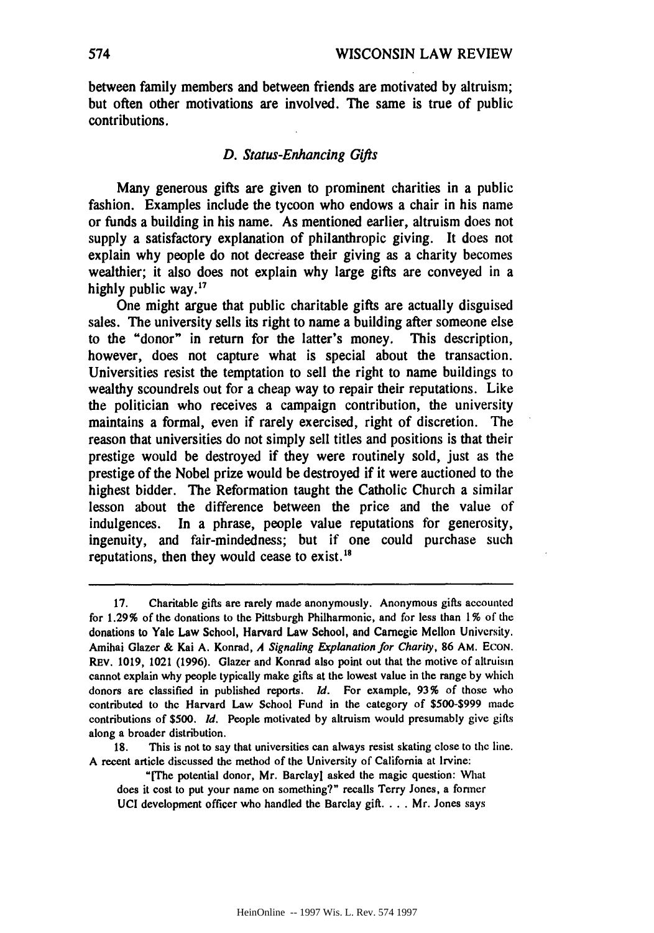between family members and between friends are motivated **by** altruism; but often other motivations are involved. The same is true of public contributions.

## *D. Status-Enhancing Gifts*

Many generous gifts are given to prominent charities in a public fashion. Examples include the tycoon who endows a chair in his name or funds a building in his name. As mentioned earlier, altruism does not supply a satisfactory explanation of philanthropic giving. It does not explain why people do not decrease their giving as a charity becomes wealthier; it also does not explain why large gifts are conveyed in a **highly** public way.1

One might argue that public charitable gifts are actually disguised sales. The university sells its right to name a building after someone else to the "donor" in return for the latter's money. This description, however, does not capture what is special about the transaction. Universities resist the temptation to sell the right to name buildings to wealthy scoundrels out for a cheap way to repair their reputations. Like the politician who receives a campaign contribution, the university maintains a formal, even if rarely exercised, right of discretion. The reason that universities do not simply sell titles and positions is that their prestige would be destroyed if they were routinely sold, just as the prestige of the Nobel prize would be destroyed if it were auctioned to the highest bidder. The Reformation taught the Catholic Church a similar lesson about the difference between the price and the value of indulgences. In a phrase, people value reputations for generosity, ingenuity, and fair-mindedness; but if one could purchase such reputations, then they would cease to exist.<sup>18</sup>

<sup>17.</sup> Charitable gifts are rarely made anonymously. Anonymous gifts accounted for **1.29%** of the donations to the Pittsburgh Philharmonic, and for less than 1% of **the** donations to Yale Law School, Harvard Law School, and Carnegie Mellon University. Amihai Glazer & Kai A. Konrad, A Signaling Explanation for Charity, **86 AM.** ECON. REv. 1019, 1021 (1996). Glazer and Konrad also point out that the motive of altruism cannot explain why people typically make gifts at the lowest value in the range **by** which donors are classified in published reports. *Id.* For example, **93%** of those who contributed to the Harvard Law School Fund in the category of **\$500-\$999** made contributions of \$500. *Id.* People motivated **by** altruism would presumably give gifts along a broader distribution.

**<sup>18.</sup>** This is not to say that universities can always resist skating close to the line. A recent article discussed the method of the University of California at Irvine:

<sup>&</sup>quot;[The potential donor, Mr. Barclay] asked the magic question: **What** does it cost to put your name on something?" recalls Terry Jones, a former UCI development officer who handled the Barclay gift. . . . Mr. Jones says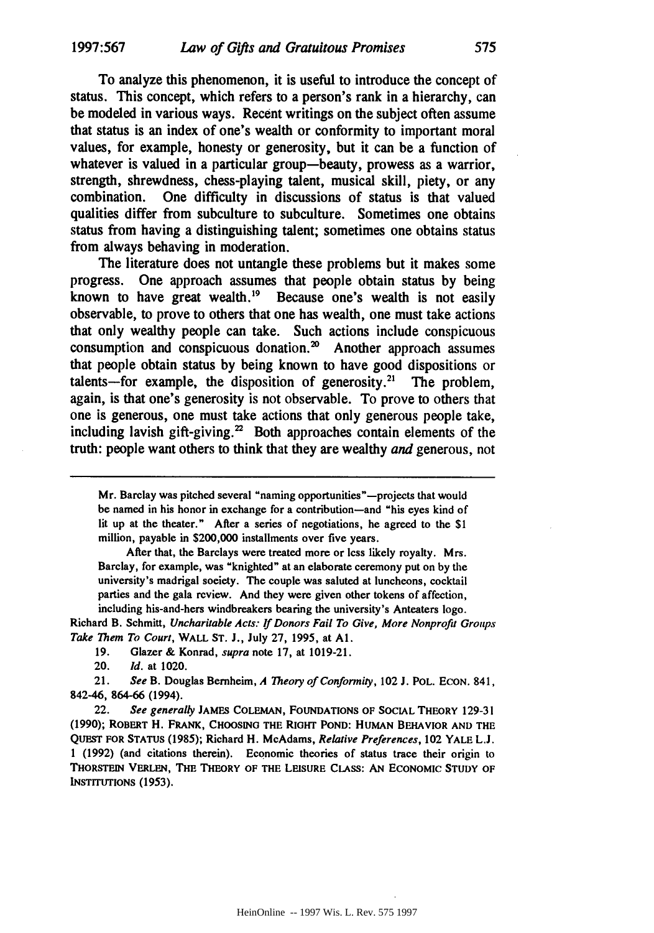To analyze this phenomenon, it is useful to introduce the concept of status. This concept, which refers to a person's rank in a hierarchy, can be modeled in various ways. Recent writings on the subject often assume that status is an index of one's wealth or conformity to important moral values, for example, honesty or generosity, but it can be a function of whatever is valued in a particular group-beauty, prowess as a warrior, strength, shrewdness, chess-playing talent, musical skill, piety, or any combination. One difficulty in discussions of status is that valued qualities differ from subculture to subculture. Sometimes one obtains status from having a distinguishing talent; sometimes one obtains status from always behaving in moderation.

The literature does not untangle these problems but it makes some progress. One approach assumes that people obtain status **by** being known to have great wealth. $^{19}$  Because one's wealth is not easily observable, to prove to others that one has wealth, one must take actions that only wealthy people can take. Such actions include conspicuous consumption and conspicuous donation. $\infty$  Another approach assumes that people obtain status **by** being known to have good dispositions or talents-for example, the disposition of generosity.<sup>21</sup> The problem, again, is that one's generosity is not observable. To prove to others that one is generous, one must take actions that only generous people take, including lavish gift-giving. $2^2$  Both approaches contain elements of the truth: people want others to think that they are wealthy *and* generous, not

Mr. Barclay was pitched several "naming opportunities"-projects that would **be** named in his honor in exchange for a contribution-and "his eyes kind of lit **up** at the theater." After a series of negotiations, he agreed to **the** \$1 million, payable in \$200,000 installments over five years.

After that, the Barclays were treated more or less likely royalty. Mrs. Barclay, for example, was "knighted" at an elaborate ceremony put on **by the** university's madrigal society. The couple was saluted at luncheons, cocktail parties and the gala review. And they were given other tokens of affection, including his-and-hers windbreakers bearing the university's Anteaters logo.

Richard B. Schmitt, *Uncharitable Acts: If Donors Fail To Give, More Nonprofit Groups Take Them To Court,* WALL **ST. J.,** July 27, 1995, at **Al.**

19. Glazer & Konrad, *supra* note 17, at 1019-21.

20. *Id.* at 1020.

21. *See* B. Douglas Bernheim, *A Theory of Conformity,* 102 **J. POL. ECON.** 841, 842-46, 864-66 (1994).

22. *See generally* **JAMES** COLEMAN, FOUNDATIONS OF SOCIAL THEORY 129-31 (1990); ROBERT H. **FRANK, CHOOSING** THE **RIGHT POND: HUMAN** BEHAVIOR **AND** THE **QuEST** FOR STATUS (1985); Richard H. McAdams, *Relative Preferences,* 102 YALE L.J. 1 (1992) (and citations therein). Economic theories of status trace their origin to THORSTEIN VERLEN, THE THEORY OF THE LEISURE CLASS: AN ECONOMIC STUDY OF INSTITUTIONS (1953).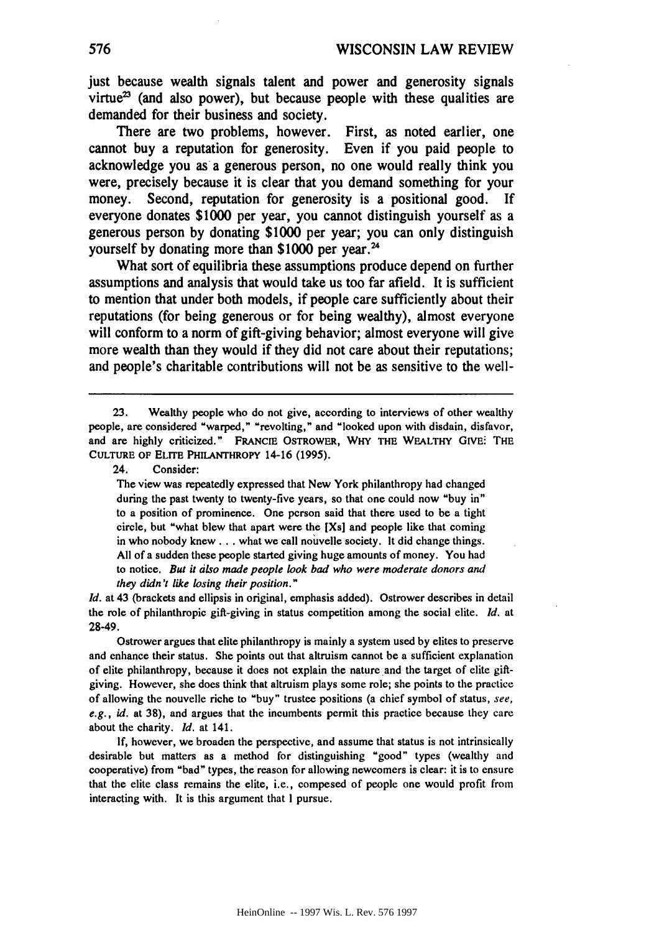just because wealth signals talent and power and generosity signals virtue<sup>23</sup> (and also power), but because people with these qualities are demanded for their business and society.

There are two problems, however. First, as noted earlier, one cannot buy a reputation for generosity. Even if you paid people to acknowledge you as a generous person, no one would really think you were, precisely because it is clear that you demand something for your money. Second, reputation for generosity is a positional good. **If** everyone donates **\$1000** per year, you cannot distinguish yourself as a generous person **by** donating **\$1000** per year; you can only distinguish yourself **by** donating more than **\$1000** per year. <sup>4</sup>

What sort of equilibria these assumptions produce depend on further assumptions and analysis that would take us too far afield. It is sufficient to mention that under both models, if people care sufficiently about their reputations (for being generous or for being wealthy), almost everyone will conform to a norm of gift-giving behavior; almost everyone will give more wealth than they would if they did not care about their reputations; and people's charitable contributions will not be as sensitive to the well-

24. Consider:

The view was repeatedly expressed that New York philanthropy had changed during the past twenty to twenty-five years, so that one could now "buy in" to a position of prominence. One person said that there used to be a tight circle, but "what blew that apart were the [Xs] and people like that coming in who nobody knew **...** what we call nouvelle society. It did change things. All of a sudden these people started giving huge amounts of money. You had to notice. But it also made people *look* bad who were moderate donors and they didn't like losing their position."

*Id.* at 43 (brackets and ellipsis in original, emphasis added). Ostrower describes in detail the role of philanthropic gift-giving in status competition among the social elite. *Id.* at 28-49.

Ostrower argues that elite philanthropy is mainly a system used by elites to preserve and enhance their status. She points out that altruism cannot be a sufficient explanation of elite philanthropy, because it does not explain the nature and the target of elite giftgiving. However, she does think that altruism plays some role; she points to the practice of allowing the nouvelle riche to "buy" trustee positions (a chief symbol of status, see, e.g., *id.* at 38), and argues that the incumbents permit this practice because they care about the charity. *Id.* at 141.

**If,** however, we broaden the perspective, and assume that status is not intrinsically desirable but matters as a method for distinguishing "good" types (wealthy and cooperative) from "bad" types, the reason for allowing newcomers is clear: it is to ensure that the elite class remains the elite, i.e., composed of people one would profit from interacting with. It is this argument that I pursue.

**<sup>23.</sup>** Wealthy people who do not give, according to interviews of other wealthy people, are considered "warped," "revolting," and "looked upon with disdain, disfavor, and are highly criticized." FRANCIE OSTROWER, **WHY THE** WEALTHY **GIVE:** THE **CULTURE OF ELITE PHILANTHROPY** 14-16 (1995).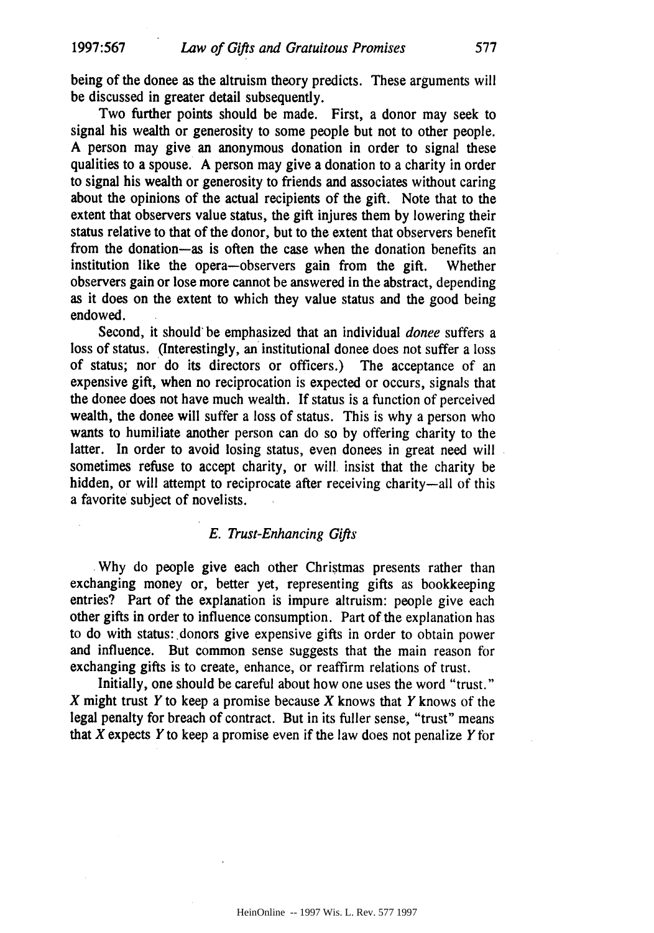being of the donee as the altruism theory predicts. These arguments will be discussed in greater detail subsequently.

Two further points should be made. First, a donor may seek to signal his wealth or generosity to some people but not to other people. A person may give an anonymous donation in order to signal these qualities to a spouse. A person may give a donation to a charity in order to signal his wealth or generosity to friends and associates without caring about the opinions of the actual recipients of the gift. Note that to the extent that observers value status, the gift injures them **by** lowering their status relative to that of the donor, but to the extent that observers benefit from the donation-as is often the case when the donation benefits an institution like the opera-observers gain from the gift. Whether observers gain or lose more cannot be answered in the abstract, depending as it does on the extent to which they value status and the good being endowed.

Second, it should' be emphasized that an individual *donee* suffers a loss of status. (Interestingly, an institutional donee does not suffer a loss of status; nor do its directors or officers.) The acceptance of an expensive gift, when no reciprocation is expected or occurs, signals that the donee does not have much wealth. **If** status is a function of perceived wealth, the donee will suffer a loss of status. This is why a person who wants to humiliate another person can do so **by** offering charity to the latter. In order to avoid losing status, even donees in great need will sometimes refuse to accept charity, or will insist that the charity be hidden, or will attempt to reciprocate after receiving charity—all of this a favorite subject of novelists.

## *E. Trust-Enhancing Gifts*

**Why** do people give each other Christmas presents rather than exchanging money or, better yet, representing gifts as bookkeeping entries? Part of the explanation is impure altruism: people give each other gifts in order to influence consumption. Part of the explanation has to do with status: donors give expensive gifts in order to obtain power and influence. But common sense suggests that the main reason for exchanging gifts is to create, enhance, or reaffirm relations of trust.

Initially, one should be careful about how one uses the word "trust." X might trust Y to keep a promise because X knows that Y knows of the legal penalty for breach of contract. But in its fuller sense, "trust" means that X expects Y to keep a promise even if the law does not penalize Y for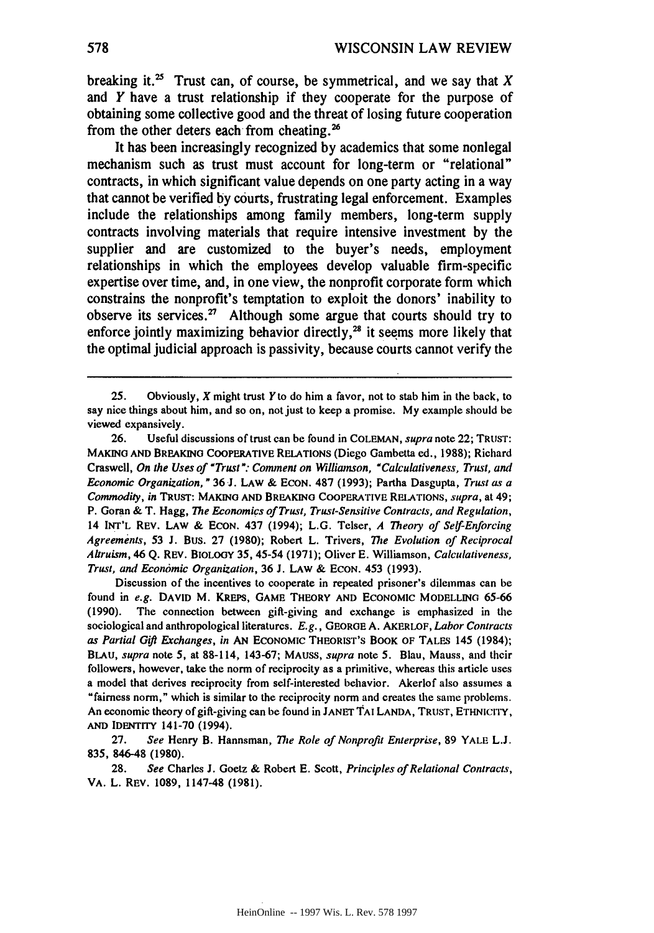breaking it.<sup>25</sup> Trust can, of course, be symmetrical, and we say that  $X$ and *Y* have a trust relationship if they cooperate for the purpose of obtaining some collective good and the threat of losing future cooperation from the other deters each from cheating.'

It has been increasingly recognized **by** academics that some nonlegal mechanism such as trust must account for long-term or "relational" contracts, in which significant value depends on one party acting in a way that cannot be verified **by** courts, frustrating legal enforcement. Examples include the relationships among family members, long-term supply contracts involving materials that require intensive investment **by** the supplier and are customized to the buyer's needs, employment relationships in which the employees develop valuable firm-specific expertise over time, and, in one view, the nonprofit corporate form which constrains the nonprofit's temptation to exploit the donors' inability to observe its services.<sup>27</sup> Although some argue that courts should try to enforce jointly maximizing behavior directly, $2<sup>8</sup>$  it seems more likely that the optimal judicial approach is passivity, because courts cannot verify the

26. Useful discussions of trust can be found in **COLEMAN,** supra note 22; TRUST: **MAKING AND** BREAKING COOPERATIVE RELATIONS (Diego Gambetta ed., 1988); Richard Craswell, *On the Uses of "Trust": Comment on Williamson, "Calculativeness, Trust, and Economic* Organization, **"** 36 J. LAW & **ECON. 487** (1993); Partha Dasgupta, *Trust as a Commodity, in* **TRUST: MAKING AND BREAKING COOPERATIVE RELATIONS,** *supra,* at 49; P. Goran & T. Hagg, *The Economics of Trust, Trust-Sensitive Contracts, and Regulation,* 14 INT'L REV. LAW & **ECON.** 437 (1994); **L.G.** Telser, *A Theory of Self-Enforcing Agreements,* **53 J.** Bus. **27 (1980);** Robert L. Trivers, *The Evolution of Reciprocal Altruism,* 46 **Q.** REV. BIOLoGY **35,** 45-54 **(1971);** Oliver **E.** Williamson, *Calculativeness, Trust, and Economic Organization,* **36 J.** LAW & **ECON.** 453 **(1993).**

Discussion of the incentives to cooperate in repeated prisoner's dilemmas can be found in *e.g.* **DAVID** M. KREPS, GAME THEORY **AND ECONOMIC** MODELLING **65-66 (1990).** The connection between gift-giving and exchange is emphasized in the sociological and anthropological literatures. *E.g.,* GEORGE A. AKERLOF, *Labor Contracts as Partial Gift Exchanges, in* **AN** ECONOMIC THEORIST'S BOOK OF TALES 145 (1984); **BLAU,** supra note 5, at **88-114, 143-67; MAUSS,** *supra* note **5.** Blau, Mauss, and their followers, however, take the norm of reciprocity as a primitive, whereas this article uses a model that derives reciprocity from self-interested behavior. Akerlof also assumes a "fairness norm," which is similar to the reciprocity norm and creates the same problems. An economic theory ofgift-giving can be found in **JANET TAi LANDA,** TRUST, ETHNICITY, **AND** IDENTITY 141-70 (1994).

**27.** *See* Henry B. Hannsman, *The Role of Nonprofit Enterprise,* **89** YALE L.J. **835,** 846-48 **(1980).**

**28.** *See* Charles **J.** Goetz **&** Robert **E.** Scott, *Principles of Relational Contracts,* VA. L. REV. 1089, 1147-48 (1981).

<sup>25.</sup> Obviously, X might trust Y to do him a favor, not to stab him in the back, to say nice things about him, and so on, not just to keep a promise. My example should be viewed expansively.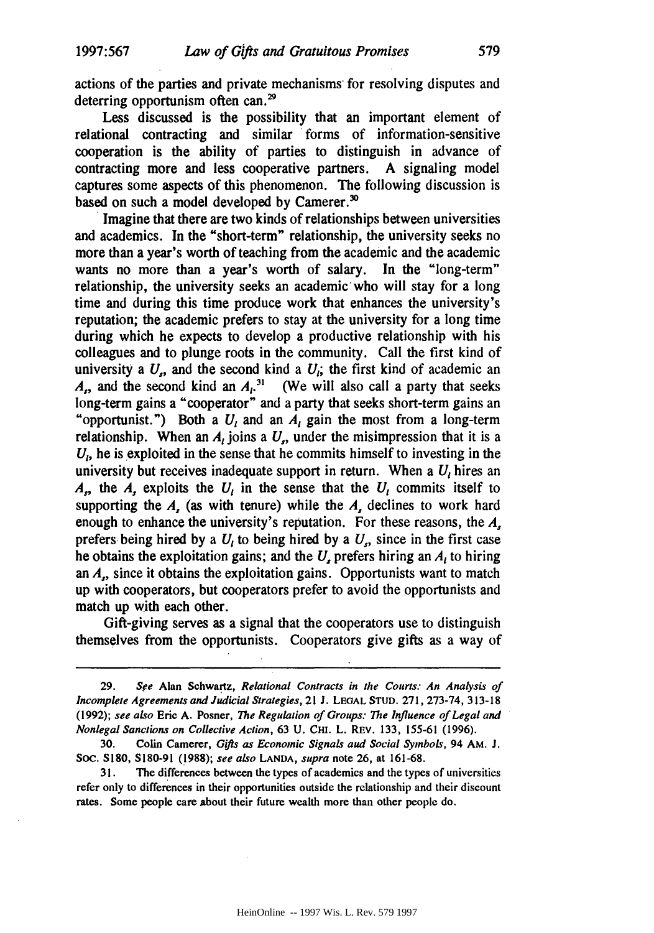actions of the parties and private mechanisms for resolving disputes and deterring opportunism often can.<sup>29</sup>

Less discussed is the possibility that an important element of relational contracting and similar forms of information-sensitive cooperation is the ability of parties to distinguish in advance of contracting more and less cooperative partners. A signaling model captures some aspects of this phenomenon. The following discussion is based on such a model developed by Camerer.<sup>30</sup>

Imagine that there are two kinds of relationships between universities and academics. In the "short-term" relationship, the university seeks no more than a year's worth of teaching from the academic and the academic wants no more than a year's worth of salary. In the "long-term" relationship, the university seeks an academic-who will stay for a long time and during this time produce work that enhances the university's reputation; the academic prefers to stay at the university for a long time during which he expects to develop a productive relationship with his colleagues and to plunge roots in the community. Call the first kind of university a  $U_{\alpha}$  and the second kind a  $U_i$ ; the first kind of academic an  $A_{n}$ , and the second kind an  $A_{n}^{31}$  (We will also call a party that seeks long-term gains a "cooperator" and a party that seeks short-term gains an "opportunist.") Both a  $U_i$  and an  $A_i$  gain the most from a long-term relationship. When an  $A_t$  joins a  $U_t$ , under the misimpression that it is a *U,* he is exploited in the sense that he commits himself to investing in the university but receives inadequate support in return. When a *U,* hires an *A*<sub>1</sub>, the *A*<sub>1</sub> exploits the  $U_i$  in the sense that the  $U_i$  commits itself to supporting the *A,* (as with tenure) while the *A,* declines to work hard enough to enhance the university's reputation. For these reasons, the *A,* prefers being hired by a  $U_t$  to being hired by a  $U_t$ , since in the first case he obtains the exploitation gains; and the *U,* prefers hiring an *A,* to hiring an *A,,* since it obtains the exploitation gains. Opportunists want to match up with cooperators, but cooperators prefer to avoid the opportunists and match up with each other.

Gift-giving serves as a signal that the cooperators use to distinguish themselves from the opportunists. Cooperators give gifts as a way of

**<sup>29.</sup>** See Alan Schwartz, Relational Contracts in the Courts: An Analysis of Incomplete *Agreements* and Judicial Strategies, 21 J. **LEGAL STUD.** 271, 273-74, 313-18 **(1992);** see also Eric **A.** Posner, *The* Regulation of Groups: *The* Influence of Legal and *Nonlegal* Sanctions on Collective Action, 63 **U. CHI.** L. REV. 133, 155-61 (1996).

**<sup>30.</sup> Colin Camerer,** Gifts as Economic Signals and Social Symbols, 94 **AM. J.** Soc. **S180, S180-91 (1988);** see also **LANDA,** supra note 26, at **161-68.**

<sup>31.</sup> The differences between the types of academics and the types of universities refer only to differences in their opportunities outside the relationship and their discount rates. Some people care about their future wealth more than other people do.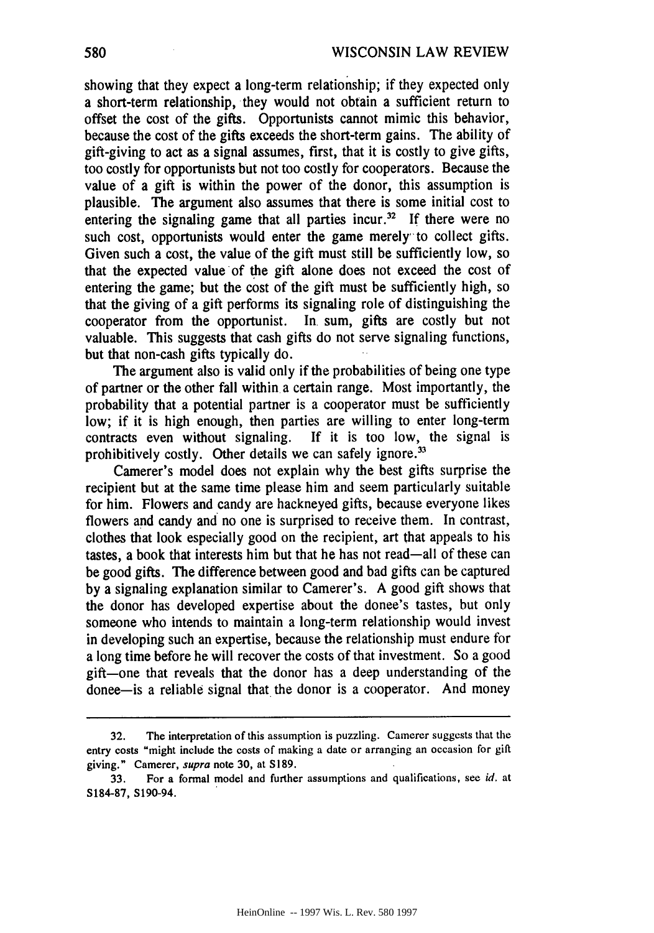showing that they expect a long-term relationship; if they expected only a short-term relationship, they would not obtain a sufficient return to offset the cost of the gifts. Opportunists cannot mimic this behavior, because the cost of the gifts exceeds the short-term gains. The ability of gift-giving to act as a signal assumes, first, that it is costly to give gifts, too costly for opportunists but not too costly for cooperators. Because the value of a gift is within the power of the donor, this assumption is plausible. The argument also assumes that there is some initial cost to entering the signaling game that all parties incur.<sup>32</sup> If there were no such cost, opportunists would enter the game merely to collect gifts. Given such a cost, the value of the gift must still be sufficiently low, so that the expected value of the gift alone does not exceed the cost of entering the game; but the cost of the gift must be sufficiently high, so that the giving of a gift performs its signaling role of distinguishing the cooperator from the opportunist. In. sum, gifts are costly but not valuable. This suggests that cash gifts do not serve signaling functions, but that non-cash gifts typically do.

The argument also is valid only if the probabilities of being one type of partner or the other fall within a certain range. Most importantly, the probability that a potential partner is a cooperator must be sufficiently low; if it is high enough, then parties are willing to enter long-term contracts even without signaling. If it is too low, the signal is prohibitively costly. Other details we can safely ignore.<sup>33</sup>

Camerer's model does not explain why the best gifts surprise the recipient but at the same time please him and seem particularly suitable for him. Flowers and candy are hackneyed gifts, because everyone likes flowers and candy and no one is surprised to receive them. In contrast, clothes that look especially good on the recipient, art that appeals to his tastes, a book that interests him but that he has not read-all of these can be good gifts. The difference between good and bad gifts can be captured by a signaling explanation similar to Camerer's. A good gift shows that the donor has developed expertise about the donee's tastes, but only someone who intends to maintain a long-term relationship would invest in developing such an expertise, because the relationship must endure for a long time before he will recover the costs of that investment. So a good gift-one that reveals that the donor has a deep understanding of the donee-is a reliable signal that the donor is a cooperator. And money

<sup>32.</sup> The interpretation of this assumption is puzzling. Camerer suggests that the entry costs "might include the costs of making a date or arranging an occasion for gift giving." Camerer, supra note 30, at S189.

<sup>33.</sup> For a formal model and further assumptions and qualifications, see id. at S184-87, S190-94.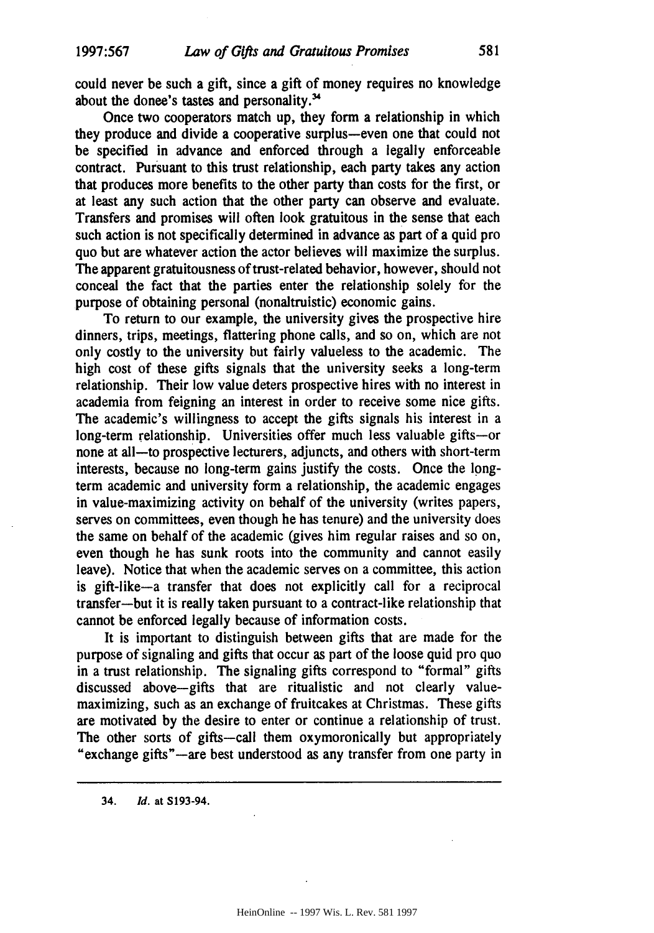could never be such a gift, since a gift of money requires no knowledge about the donee's tastes and personality.'

Once two cooperators match up, they form a relationship in which they produce and divide a cooperative surplus-even one that could not be specified in advance and enforced through a legally enforceable contract. Pursuant to this trust relationship, each party takes any action that produces more benefits to the other party than costs for the first, or at least any such action that the other party can observe and evaluate. Transfers and promises will often look gratuitous in the sense that each such action is not specifically determined in advance as part of a quid pro quo but are whatever action the actor believes will maximize the surplus. The apparent gratuitousness of trust-related behavior, however, should not conceal the fact that the parties enter the relationship solely for the purpose of obtaining personal (nonaltruistic) economic gains.

To return to our example, the university gives the prospective hire dinners, trips, meetings, flattering phone calls, and so on, which are not only costly to the university but fairly valueless to the academic. The high cost of these gifts signals that the university seeks a long-term relationship. Their low value deters prospective hires with no interest in academia from feigning an interest in order to receive some nice gifts. The academic's willingness to accept the gifts signals his interest in a long-term relationship. Universities offer much less valuable gifts-or none at all-to prospective lecturers, adjuncts, and others with short-term interests, because no long-term gains justify the costs. Once the longterm academic and university form a relationship, the academic engages in value-maximizing activity on behalf of the university (writes papers, serves on committees, even though he has tenure) and the university does the same on behalf of the academic (gives him regular raises and so on, even though he has sunk roots into the community and cannot easily leave). Notice that when the academic serves on a committee, this action is gift-like-a transfer that does not explicitly call for a reciprocal transfer-but it is really taken pursuant to a contract-like relationship that cannot be enforced legally because of information costs.

It is important to distinguish between gifts that are made for the purpose of signaling and gifts that occur as part of the loose quid pro quo in a trust relationship. The signaling gifts correspond to "formal" gifts discussed above-gifts that are ritualistic and not clearly valuemaximizing, such as an exchange of fruitcakes at Christmas. These gifts are motivated **by** the desire to enter or continue a relationship of trust. The other sorts of gifts--call them oxymoronically but appropriately "exchange gifts"--are best understood as any transfer from one party in

**34.** *Id.* at **S193-94.**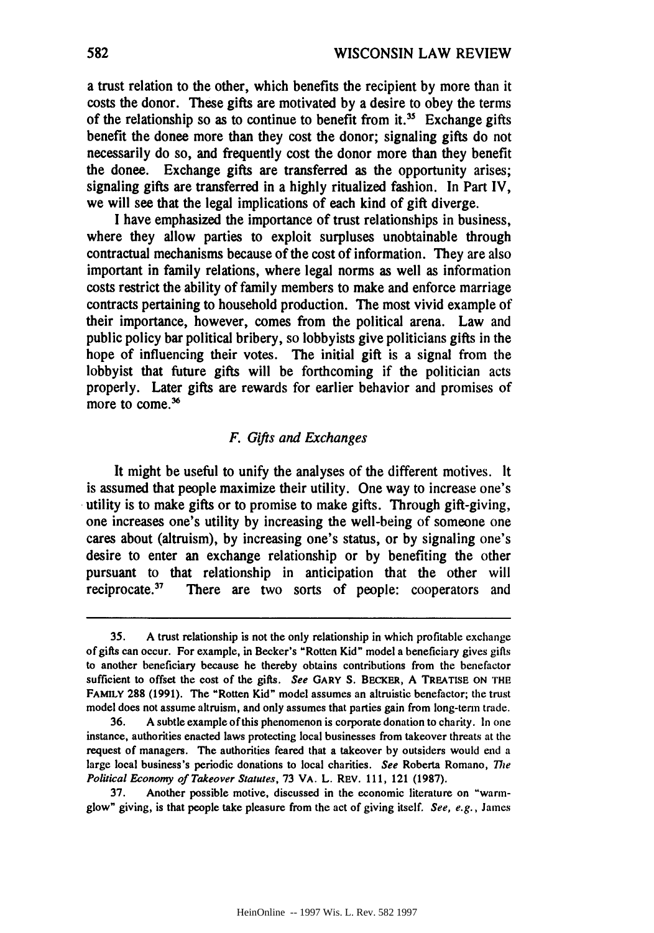a trust relation to the other, which benefits the recipient by more than it costs the donor. These gifts are motivated **by** a desire to obey the terms of the relationship so as to continue to benefit from it.<sup>35</sup> Exchange gifts benefit the donee more than they cost the donor; signaling gifts do not necessarily do so, and frequently cost the donor more than they benefit the donee. Exchange gifts are transferred as the opportunity arises; signaling gifts are transferred in a **highly** ritualized fashion. In Part IV, we will see that the legal implications of each kind of gift diverge.

I have emphasized the importance of trust relationships in business, where they allow parties to exploit surpluses unobtainable through contractual mechanisms because of the cost of information. They are also important in family relations, where legal norms as well as information costs restrict the ability of family members to make and enforce marriage contracts pertaining to household production. The most vivid example of their importance, however, comes from the political arena. Law and public policy bar political bribery, so lobbyists give politicians gifts in the hope of influencing their votes. The initial gift is a signal from the lobbyist that future gifts will be forthcoming if the politician acts properly. Later gifts are rewards for earlier behavior and promises of more to come.<sup>36</sup>

## *F. Gifts and Exchanges*

It might be useful to unify the analyses of the different motives. It is assumed that people maximize their utility. One way to increase one's utility is to make gifts or to promise to make gifts. Through gift-giving, one increases one's utility **by** increasing the well-being of someone one cares about (altruism), **by** increasing one's status, or **by** signaling one's desire to enter an exchange relationship or **by** benefiting the other pursuant to that relationship in anticipation that the other will reciprocate.<sup>37</sup> There are two sorts of people: cooperators and

**<sup>35.</sup> A** trust relationship is not the only relationship in which profitable exchange of gifts can occur. For example, in Becker's "Rotten Kid" model a beneficiary gives gifts to another beneficiary because he thereby obtains contributions from the benefactor sufficient to offset the cost of the gifts. *See* **GARY S.** BEcKER, **A TREATISE ON THE FAMILY 288 (1991).** The "Rotten Kid" model assumes an altruistic benefactor; the trust model does not assume altruism, and only assumes that parties gain from long-term trade.

**<sup>36.</sup> A** subtle example of this phenomenon is corporate donation to charity. In one instance, authorities enacted laws protecting local businesses from takeover threats at the request of managers. The authorities feared that a takeover **by** outsiders would end a large local business's periodic donations to local charities. *See* Roberta Romano, *The Political Economy of Takeover Statutes,* **73 VA.** L. REV. **111,** 121 **(1987).**

**<sup>37.</sup>** Another possible motive, discussed in the economic literature on "warmglow" giving, is that people take pleasure from the act of giving itself. *See, e.g.,* James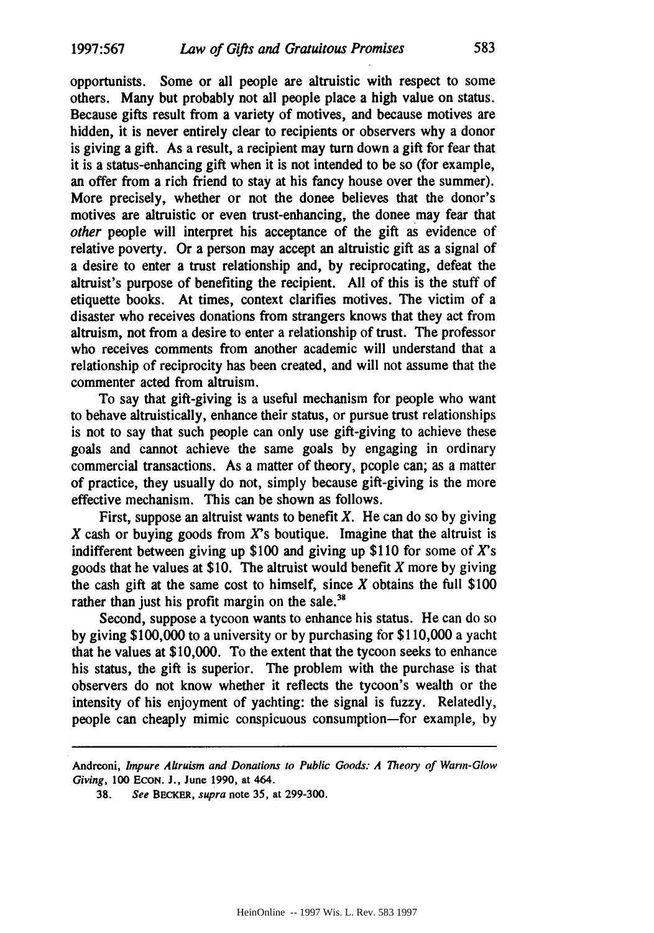opportunists. Some or all people are altruistic with respect to some others. Many but probably not all people place a high value on status. Because gifts result from a variety of motives, and because motives are hidden, it is never entirely clear to recipients or observers why a donor is giving a gift. As a result, a recipient may turn down a gift for fear that it is a status-enhancing gift when it is not intended to be so (for example, an offer from a rich friend to stay at his fancy house over the summer). More precisely, whether or not the donee believes that the donor's motives are altruistic or even trust-enhancing, the donee may fear that *other* people will interpret his acceptance of the gift as evidence of relative poverty. Or a person may accept an altruistic gift as a signal of a desire to enter a trust relationship and, by reciprocating, defeat the altruist's purpose of benefiting the recipient. **All** of this is the stuff of etiquette books. At times, context clarifies motives. The victim of a disaster who receives donations from strangers knows that they act from altruism, not from a desire to enter a relationship of trust. The professor who receives comments from another academic will understand that a relationship of reciprocity has been created, and will not assume that the commenter acted from altruism.

To say that gift-giving is a useful mechanism for people who want to behave altruistically, enhance their status, or pursue trust relationships is not to say that such people can only use gift-giving to achieve these goals and cannot achieve the same goals by engaging in ordinary commercial transactions. As a matter of theory, people can; as a matter of practice, they usually do not, simply because gift-giving is the more effective mechanism. This can be shown as follows.

First, suppose an altruist wants to benefit X. He can do so **by** giving  $X$  cash or buying goods from  $X$ 's boutique. Imagine that the altruist is indifferent between giving up **\$100** and giving up **\$110** for some of *X's* goods that he values at **\$10.** The altruist would benefit X more by giving the cash gift at the same cost to himself, since X obtains the **full** \$100 rather than just his profit margin on the sale.<sup>38</sup>

Second, suppose a tycoon wants to enhance his status. He can do **so** by giving \$100,000 to a university or by purchasing for \$110,000 a yacht that he values at **\$10,000.** To the extent that the tycoon seeks to enhance his status, the gift is superior. The problem with the purchase is that observers do not know whether it reflects the tycoon's wealth or the intensity of his enjoyment of yachting: the signal is fuzzy. Relatedly, people can cheaply mimic conspicuous consumption-for example, by

**Andreoni,** *Impure Altruism and Donations to Public Goods: A Theory of Warm-Glow* Giving, **100 ECON. J.,** June **1990,** at 464.

**<sup>38.</sup> See BECKER, supra** note **35,** at **299-300.**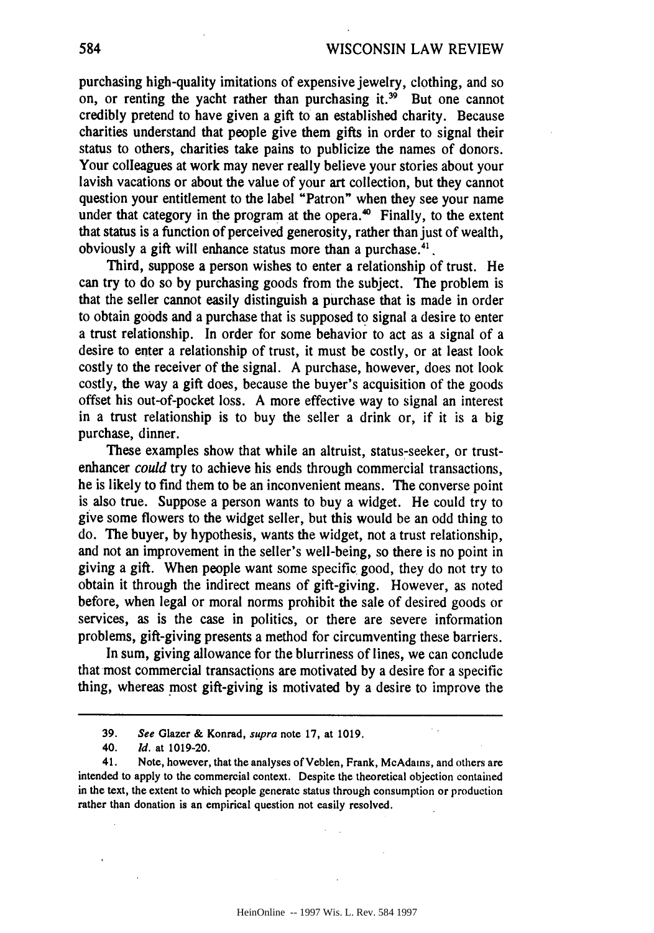purchasing high-quality imitations of expensive jewelry, clothing, and so on, or renting the yacht rather than purchasing it.<sup>39</sup> But one cannot credibly pretend to have given a gift to an established charity. Because charities understand that people give them gifts in order to signal their status to others, charities take pains to publicize the names of donors. Your colleagues at work may never really believe your stories about your lavish vacations or about the value of your art collection, but they cannot question your entitlement to the label "Patron" when they see your name under that category in the program at the opera. $\omega$  Finally, to the extent that status is a function of perceived generosity, rather than just of wealth, obviously a gift will enhance status more than a purchase. $41$ .

Third, suppose a person wishes to enter a relationship of trust. He can try to do so by purchasing goods from the subject. The problem is that the seller cannot easily distinguish a purchase that is made in order to obtain goods and a purchase that is supposed to signal a desire to enter a trust relationship. In order for some behavior to act as a signal of a desire to enter a relationship of trust, it must be costly, or at least look costly to the receiver of the signal. A purchase, however, does not look costly, the way a gift does, because the buyer's acquisition of the goods offset his out-of-pocket loss. A more effective way to signal an interest in a trust relationship is to buy the seller a drink or, if it is a big purchase, dinner.

These examples show that while an altruist, status-seeker, or trustenhancer *could* try to achieve his ends through commercial transactions, he is likely to find them to be an inconvenient means. The converse point is also true. Suppose a person wants to buy a widget. He could try to give some flowers to the widget seller, but this would be an odd thing to do. The buyer, by hypothesis, wants the widget, not a trust relationship, and not an improvement in the seller's well-being, so there is no point in giving a gift. When people want some specific good, they do not try to obtain it through the indirect means of gift-giving. However, as noted before, when legal or moral norms prohibit the sale of desired goods or services, as is the case in politics, or there are severe information problems, gift-giving presents a method for circumventing these barriers.

In sum, giving allowance for the blurriness of lines, we can conclude that most commercial transactions are motivated by a desire for a specific thing, whereas most gift-giving is motivated by a desire to improve the

**584**

 $\mathcal{L}_{\text{max}}$ 

<sup>39.</sup> See Glazer & Konrad, supra note 17, at 1019.

<sup>40.</sup> **Id.** at 1019-20.

<sup>41.</sup> Note, however, that the analyses of Veblen, Frank, McAdams, and others are intended to apply to the commercial context. Despite the theoretical objection contained in the text, the extent to which people generate status through consumption or production rather than donation is an empirical question not easily resolved.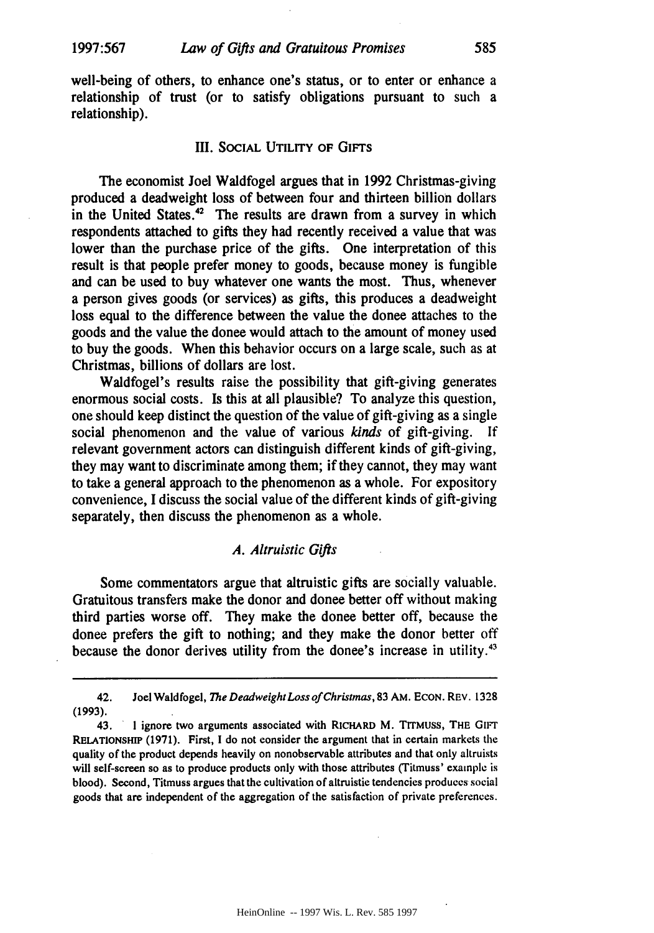well-being of others, to enhance one's status, or to enter or enhance a relationship of trust (or to satisfy obligations pursuant to such a relationship).

#### III. **SOCIAL UTILITY OF** GIFTS

The economist Joel Waldfogel argues that in 1992 Christmas-giving produced a deadweight loss of between four and thirteen billion dollars in the United States. $42$  The results are drawn from a survey in which respondents attached to gifts they had recently received a value that was lower than the purchase price of the gifts. One interpretation of this result is that people prefer money to goods, because money is fungible and can be used to buy whatever one wants the most. Thus, whenever a person gives goods (or services) as gifts, this produces a deadweight loss equal to the difference between the value the donee attaches to the goods and the value the donee would attach to the amount of money used to buy the goods. When this behavior occurs on a large scale, such as at Christmas, billions of dollars are lost.

Waldfogel's results raise the possibility that gift-giving generates enormous social costs. Is this at all plausible? To analyze this question, one should keep distinct the question of the value of gift-giving as a single social phenomenon and the value of various *kinds* of gift-giving. If relevant government actors can distinguish different kinds of gift-giving, they may want to discriminate among them; if they cannot, they may want to take a general approach to the phenomenon as a whole. For expository convenience, I discuss the social value of the different kinds of gift-giving separately, then discuss the phenomenon as a whole.

## *A. Altruistic Gifts*

Some commentators argue that altruistic gifts are socially valuable. Gratuitous transfers make the donor and donee better off without making third parties worse off. They make the donee better off, because the donee prefers the gift to nothing; and they make the donor better off because the donor derives utility from the donee's increase in utility.<sup>43</sup>

585

**<sup>42.</sup> Joel Waldfogel,** *The Deadweight Loss ofChristmas, 83* AM. **ECON.** REV. **1328 (1993).**

**<sup>43.</sup>** I ignore two arguments associated with RICHARD M. TrrMuss, THE GIFT **RELATIONSHIP (1971).** First, **I** do not consider the argument that in certain markets the quality of the product depends heavily on nonobservable attributes and that only altruists will self-screen so as to produce products only with those attributes (Titmuss' example is blood). Second, Titmuss argues that the cultivation of altruistic tendencies produces social goods that are independent of the aggregation of the satisfaction of private preferences.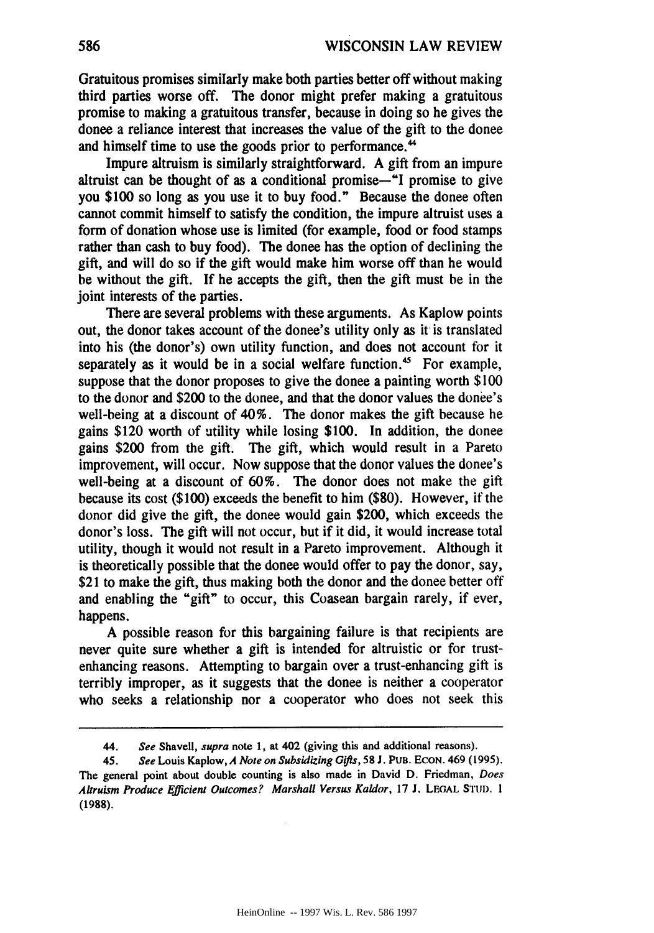Gratuitous promises similarly make both parties better off without making third parties worse off. The donor might prefer making a gratuitous promise to making a gratuitous transfer, because in doing so he gives the donee a reliance interest that increases the value of the gift to the donee and himself time to use the goods prior to performance.<sup>44</sup>

Impure altruism is similarly straightforward. A gift from an impure altruist can be thought of as a conditional promise-"I promise to give you **\$100** so long as you use it to buy food." Because the donee often cannot commit himself to satisfy the condition, the impure altruist uses a form of donation whose use is limited (for example, food or food stamps rather than cash to buy food). The donee has the option of declining the gift, and will do so if the gift would make him worse off than he would be without the gift. If he accepts the gift, then the gift must be in the joint interests of the parties.

There are several problems with these arguments. As Kaplow points out, the donor takes account of the donee's utility only as it is translated into his (the donor's) own utility function, and does not account for it separately as it would be in a social welfare function.<sup>45</sup> For example, suppose that the donor proposes to give the donee a painting worth \$100 to the donor and \$200 to the donee, and that the donor values the donee's well-being at a discount of 40%. The donor makes the gift because he gains \$120 worth of utility while losing **\$100.** In addition, the donee gains \$200 from the gift. The gift, which would result in a Pareto improvement, will occur. Now suppose that the donor values the donee's well-being at a discount of **60%.** The donor does not make the gift because its cost (\$100) exceeds the benefit to him (\$80). However, if the donor did give the gift, the donee would gain \$200, which exceeds the donor's loss. The gift will not occur, but if it did, it would increase total utility, though it would not result in a Pareto improvement. Although it is theoretically possible that the donee would offer to pay the donor, say, \$21 to make the gift, thus making both the donor and the donee better off and enabling the "gift" to occur, this Coasean bargain rarely, if ever, happens.

A possible reason for this bargaining failure is that recipients are never quite sure whether a gift is intended for altruistic or for trustenhancing reasons. Attempting to bargain over a trust-enhancing gift is terribly improper, as it suggests that the donee is neither a cooperator who seeks a relationship nor a cooperator who does not seek this

<sup>44.</sup> **See** Shavell, supra note **1, at** 402 (giving this and additional reasons).

<sup>45.</sup> **See** Louis **Kaplow,** *A* **Note on** *Subsidizing Gifis, 58 J.* **PUB. ECoN.** 469 (1995). The general point about double counting is also made in David **D.** Friedman, Does Altruism Produce Efficient Outcomes? Marshall Versus Kaldor, **17 J. LEGAL** STUD. **1 (1988).**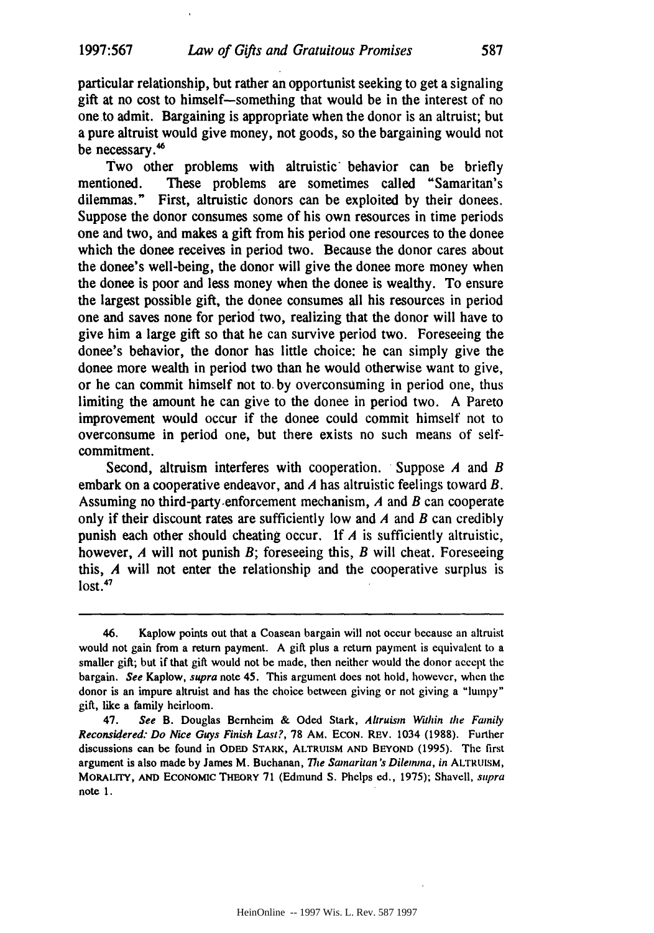particular relationship, but rather an opportunist seeking to get a signaling gift at no cost to himself-something that would be in the interest of no one to admit. Bargaining is appropriate when the donor is an altruist; but a pure altruist would give money, not goods, so the bargaining would not be necessary.<sup>46</sup>

Two other problems with altruistic behavior can be briefly mentioned. These problems are sometimes called "Samaritan's dilemmas." First, altruistic donors can be exploited **by** their donees. Suppose the donor consumes some of his own resources in time periods one and two, and makes a gift from his period one resources to the donee which the donee receives in period two. Because the donor cares about the donee's well-being, the donor will give the donee more money when the donee is poor and less money when the donee is wealthy. To ensure the largest possible gift, the donee consumes all his resources in period one and saves none for period two, realizing that the donor will have to give him a large gift so that he can survive period two. Foreseeing the donee's behavior, the donor has little choice: he can simply give the donee more wealth in period two than he would otherwise want to give, or he can commit himself not to. **by** overconsuming in period one, thus limiting the amount he can give to the donee in period two. **A** Pareto improvement would occur if the donee could commit himself not to overconsume in period one, but there exists no such means of selfcommitment.

Second, altruism interferes with cooperation. Suppose *A* and *B* embark on a cooperative endeavor, and *A* has altruistic feelings toward *B.* Assuming no third-party.enforcement mechanism, *A* and *B* can cooperate only if their discount rates are sufficiently low and *A* and *B* can credibly punish each other should cheating occur. **If** *A* is sufficiently altruistic, however, *A* will not punish *B;* foreseeing this, *B* will cheat. Foreseeing this, *A* will not enter the relationship and the cooperative surplus is **lost. <sup>47</sup>**

<sup>46.</sup> Kaplow points out that a Coasean bargain will not occur because an altruist would not gain from a return payment. **A** gift plus a return payment is equivalent to a smaller gift; but if that gift would not be made, then neither would the donor accept the bargain. **See** Kaplow, **supra** note 45. This argument does not hold, however, when the donor is an impure altruist and has the choice between giving or not giving a "lumpy" gift, like a family heirloom.

<sup>47.</sup> See B. Douglas Bernheim **&** Oded Stark, Altruisn Within the Family **Reconsidered: Do Nice Guys** Finish **Last?, 78 AM. ECON. REV.** 1034 **(1988).** Further discussions can **be** found in **ODED** STARK, ALTRUISM **AND** BEYOND **(1995).** The first argument is also made **by** James M. Buchanan, *The* Samaritan's Dilemma, *in* ALTRUISM, MORALITY, **AND** ECONOMIC THEORY **71** (Edmund **S.** Phelps ed., **1975);** Shavell, supra note 1.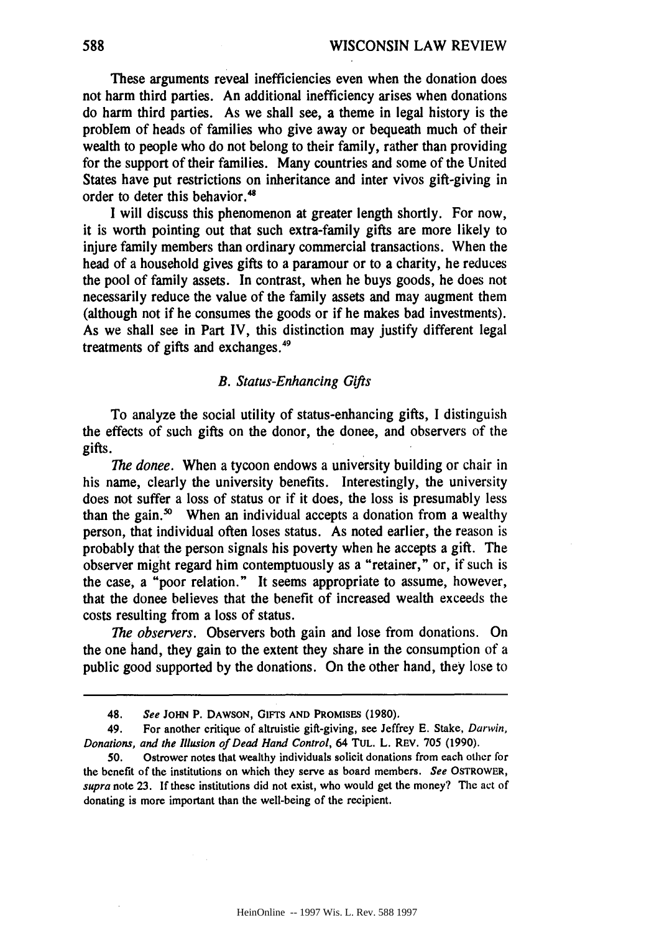These arguments reveal inefficiencies even when the donation does not harm third parties. An additional inefficiency arises when donations do harm third parties. As we shall see, a theme in legal history is the problem of heads of families who give away or bequeath much of their wealth to people who do not belong to their family, rather than providing for the support of their families. Many countries and some of the United States have put restrictions on inheritance and inter vivos gift-giving in order to deter this behavior.<sup>48</sup>

I will discuss this phenomenon at greater length shortly. For now, it is worth pointing out that such extra-family gifts are more likely to injure family members than ordinary commercial transactions. When the head of a household gives gifts to a paramour or to a charity, he reduces the pool of family assets. In contrast, when he buys goods, he does not necessarily reduce the value of the family assets and may augment them (although not if he consumes the goods or if he makes bad investments). As we shall see in Part IV, this distinction may justify different legal treatments of gifts and exchanges. $49$ 

#### *B. Status-Enhancing Gifts*

To analyze the social utility of status-enhancing gifts, I distinguish the effects of such gifts on the donor, the donee, and observers of the gifts.

*The donee.* When a tycoon endows a university building or chair in his name, clearly the university benefits. Interestingly, the university does not suffer a loss of status or if it does, the loss is presumably less than the gain.<sup>50</sup> When an individual accepts a donation from a wealthy person, that individual often loses status. As noted earlier, the reason is probably that the person signals his poverty when he accepts a gift. The observer might regard him contemptuously as a "retainer," or, if such is the case, a "poor relation." It seems appropriate to assume, however, that the donee believes that the benefit of increased wealth exceeds the costs resulting from a loss of status.

*The observers.* Observers both gain and lose from donations. On the one hand, they gain to the extent they share in the consumption of a public good supported by the donations. On the other hand, they lose to

**<sup>48.</sup>** See **JOHN** P. **DAWSON, GIFTS AND PROMISES (1980).**

<sup>49.</sup> For another critique of altruistic gift-giving, see Jeffrey **E.** Stake, Darwin, *Donations, and the Illusion of Dead Hand Control,* 64 **TUL.** L. REV. **705 (1990).**

**<sup>50.</sup>** Ostrower notes that wealthy individuals solicit donations from each other for the benefit of the institutions on which they serve as board members. *See* OSTROWER, *supra* note **23. If** these institutions did not exist, who would get the money? The act of donating is more important than the well-being of the recipient.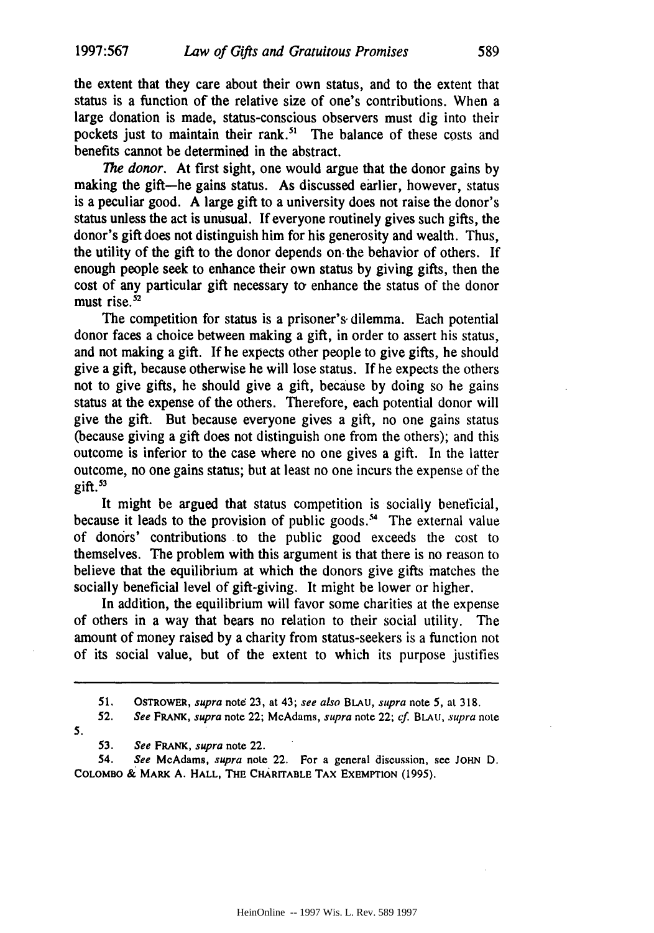the extent that they care about their own status, and to the extent that status is a function of the relative size of one's contributions. When a large donation is made, status-conscious observers must dig into their pockets just to maintain their rank.<sup>51</sup> The balance of these costs and benefits cannot be determined in the abstract.

*The donor.* At first sight, one would argue that the donor gains **by** making the gift-he gains status. As discussed earlier, however, status is a peculiar good. **A** large gift to a university does not raise the donor's status unless the act is unusual. **If** everyone routinely gives such gifts, the donor's gift does not distinguish him for his generosity and wealth. Thus, the utility of the gift to the donor depends on-the behavior of others. **If** enough people seek to enhance their own status by giving gifts, then the cost of any particular gift necessary to enhance the status of the donor must rise. $52$ 

The competition for status is a prisoner's dilemma. Each potential donor faces a choice between making a gift, in order to assert his status, and not making a gift. **If** he expects other people to give gifts, he should give a gift, because otherwise he will lose status. **If** he expects the others not to give gifts, he should give a gift, because **by** doing so he gains status at the expense of the others. Therefore, each potential donor will give the gift. But because everyone gives a gift, no one gains status (because giving a gift does not distinguish one from the others); and this outcome is inferior to the case where no one gives a gift. In the latter outcome, no one gains status; but at least no one incurs the expense of the  $e$ ift. $53$ 

It might be argued that status competition is socially beneficial, because it leads to the provision of public goods.<sup>54</sup> The external value of donors' contributions to the public good exceeds the cost to themselves. The problem with this argument is that there is no reason to believe that the equilibrium at which the donors give gifts matches the socially beneficial level of gift-giving. It might be lower or higher.

In addition, the equilibrium will favor some charities at the expense of others in a way that bears no relation to their social utility. The amount of money raised **by** a charity from status-seekers is a function not of its social value, but of the extent to which its purpose justifies

52. See *FRANK,* supra note 22; McAdams, supra note 22; **cf.** *BLAU,* supra note *5.*

**53.** See *FRANK,* supra note 22.

54. See McAdams, supra note 22. For a general discussion, see JOHN D. COLOMBO **k** MARK **A.** HALL, THE CHARITABLE TAX **EXEMPTION** (1995).

**<sup>51.</sup>** OSTROWER, supra note **23,** at 43; see also **BLAU,** supra note **5,** at **318.**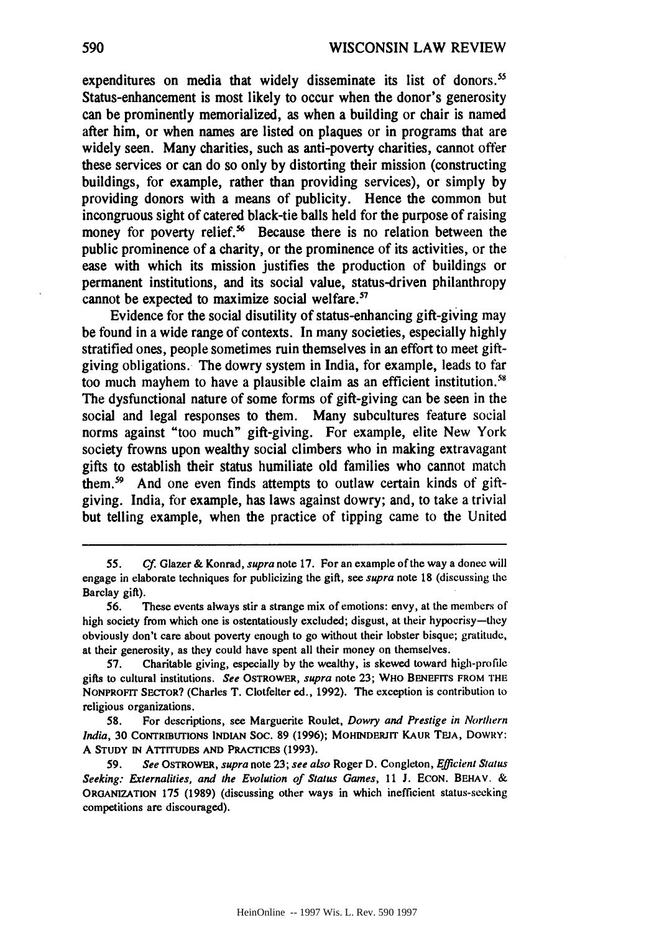expenditures on media that widely disseminate its list of donors.<sup>55</sup> Status-enhancement is most likely to occur when the donor's generosity can be prominently memorialized, as when a building or chair is named after him, or when names are listed on plaques or in programs that are widely seen. Many charities, such as anti-poverty charities, cannot offer these services or can do so only by distorting their mission (constructing buildings, for example, rather than providing services), or simply by providing donors with a means of publicity. Hence the common but incongruous sight of catered black-tie balls held for the purpose of raising money for poverty relief.<sup>56</sup> Because there is no relation between the public prominence of a charity, or the prominence of its activities, or the ease with which its mission justifies the production of buildings or permanent institutions, and its social value, status-driven philanthropy cannot be expected to maximize social welfare.'

Evidence for the social disutility of status-enhancing gift-giving may be found in a wide range of contexts. In many societies, especially highly stratified ones, people sometimes ruin themselves in an effort to meet giftgiving obligations. The dowry system in India, for example, leads to far too much mayhem to have a plausible claim as an efficient institution.<sup>51</sup> The dysfunctional nature of some forms of gift-giving can be seen in the social and legal responses to them. Many subcultures feature social norms against "too much" gift-giving. For example, elite New York society frowns upon wealthy social climbers who in making extravagant gifts to establish their status humiliate old families who cannot match them.<sup>59</sup> And one even finds attempts to outlaw certain kinds of giftgiving. India, for example, has laws against dowry; and, to take a trivial but telling example, when the practice of tipping came to the United

<sup>55.</sup> Cf. Glazer & Konrad, *supra* note 17. For an example of the way a donee will engage in elaborate techniques for publicizing the gift, see supra note **18** (discussing the Barclay gift).

**<sup>56.</sup>** These events always stir a strange mix of emotions: envy, at the members of high society from which one is ostentatiously excluded; disgust, at their hypocrisy-they obviously don't care about poverty enough to go without their lobster bisque; gratitude, at their generosity, as they could have spent all their money on themselves.

*<sup>57.</sup>* Charitable giving, especially **by** the wealthy, is skewed toward high-profile gifts to cultural institutions. *See* **OSTROWER,** *supra* note 23; **WHO BENEFITS** FROM **THE NONPROFIT SECTOR?** (Charles T. Clotfelter ed., 1992). The exception is contribution to religious organizations.

**<sup>58.</sup>** For descriptions, see Marguerite Roulet, *Dowry and Prestige in Northern India,* 30 **CONTRIBUTIONS INDIAN** Soc. **89** (1996); **MOHINDERJIT KAUR TEJA,** DOWRY: **A STUDY IN ATTITUDES AND PRACTICES** (1993).

<sup>59.</sup> *See* **OSTROWER,** *supra* note 23; *see also* Roger D. Congleton, *Efficient* Status Seeking: Externalities, and the Evolution of Status Games, 11 J. ECON. BEHAV. & **ORGANIZATION** 175 (1989) (discussing other ways in which inefficient status-seeking competitions are discouraged).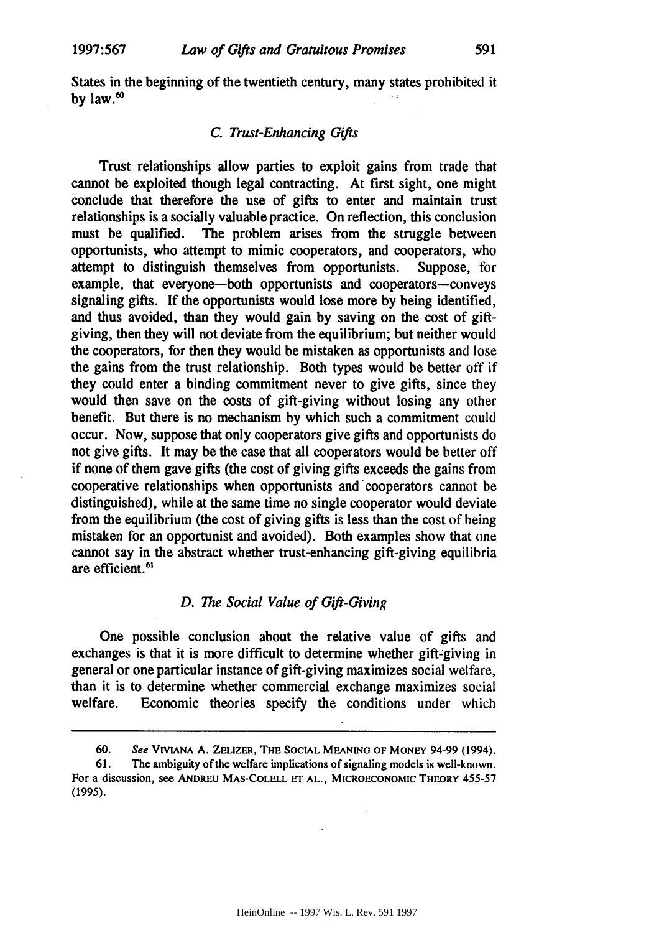States in the beginning of the twentieth century, many states prohibited it **by** law.'

## *C. Trust-Enhancing Gifts*

Trust relationships allow parties to exploit gains from trade that cannot be exploited though legal contracting. At first sight, one might conclude that therefore the use of gifts to enter and maintain trust relationships is a socially valuable practice. On reflection, this conclusion must be qualified. The problem arises from the struggle between opportunists, who attempt to mimic cooperators, and cooperators, who attempt to distinguish themselves from opportunists. Suppose, for example, that everyone-both opportunists and cooperators-conveys signaling gifts. If the opportunists would lose more **by** being identified, and thus avoided, than they would gain **by** saving on the cost of giftgiving, then they will not deviate from the equilibrium; but neither would the cooperators, for then they would be mistaken as opportunists and lose the gains from the trust relationship. Both types would be better off if they could enter a binding commitment never to give gifts, since they would then save on the costs of gift-giving without losing any other benefit. But there is no mechanism **by** which such a commitment could occur. Now, suppose that only cooperators give gifts and opportunists do not give gifts. It may be the case that all cooperators would be better off if none of them gave gifts (the cost of giving gifts exceeds the gains from cooperative relationships when opportunists and cooperators cannot be distinguished), while at the same time no single cooperator would deviate from the equilibrium (the cost of giving gifts is less than the cost of being mistaken for an opportunist and avoided). Both examples show that one cannot say in the abstract whether trust-enhancing gift-giving equilibria are efficient.<sup>61</sup>

## *D. The Social Value of Gift-Giving*

One possible conclusion about the relative value of gifts and exchanges is that it is more difficult to determine whether gift-giving in general or one particular instance of gift-giving maximizes social welfare, than it is to determine whether commercial exchange maximizes social welfare. Economic theories specify the conditions under which

**<sup>60.</sup>** *See* **VIVIANA A. ZELIzER,** THE **SOCIAL MEANING** OF MONEY 94-99 (1994).

**<sup>61.</sup>** The ambiguity of the welfare implications of signaling models is well-known. For a discussion, see **ANDREU MAS-COLELL ET AL.,** MICROECONOMIC THEORY **455-57 (1995).**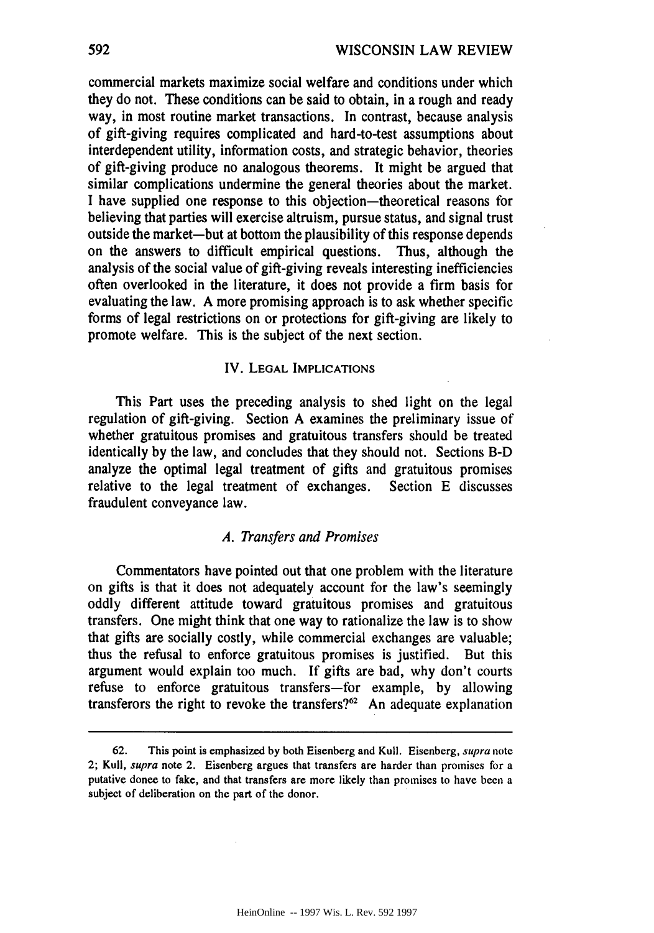commercial markets maximize social welfare and conditions under which they do not. These conditions can be said to obtain, in a rough and ready way, in most routine market transactions. In contrast, because analysis of gift-giving requires complicated and hard-to-test assumptions about interdependent utility, information costs, and strategic behavior, theories of gift-giving produce no analogous theorems. It might be argued that similar complications undermine the general theories about the market. I have supplied one response to this objection-theoretical reasons for believing that parties will exercise altruism, pursue status, and signal trust outside the market-but at bottom the plausibility of this response depends on the answers to difficult empirical questions. Thus, although the analysis of the social value of gift-giving reveals interesting inefficiencies often overlooked in the literature, it does not provide a firm basis for evaluating the law. A more promising approach is to ask whether specific forms of legal restrictions on or protections for gift-giving are likely to promote welfare. This is the subject of the next section.

## IV. **LEGAL IMPLICATIONS**

This Part uses the preceding analysis to shed light on the legal regulation of gift-giving. Section A examines the preliminary issue of whether gratuitous promises and gratuitous transfers should be treated identically **by** the law, and concludes that they should not. Sections B-D analyze the optimal legal treatment of gifts and gratuitous promises relative to the legal treatment of exchanges. Section E discusses fraudulent conveyance law.

## *A. Transfers and Promises*

Commentators have pointed out that one problem with the literature on gifts is that it does not adequately account for the law's seemingly oddly different attitude toward gratuitous promises and gratuitous transfers. One might think that one way to rationalize the law is to show that gifts are socially costly, while commercial exchanges are valuable; thus the refusal to enforce gratuitous promises is justified. But this argument would explain too much. If gifts are bad, why don't courts refuse to enforce gratuitous transfers-for example, **by** allowing transferors the right to revoke the transfers?<sup>62</sup> An adequate explanation

**<sup>62.</sup>** This point is emphasized **by** both Eisenberg and Kull. Eisenberg, supra note 2; Kull, supra note 2. Eisenberg argues that transfers are harder than promises for a putative donee to fake, and that transfers are more likely than promises to have been a subject of deliberation on the **part** of the donor.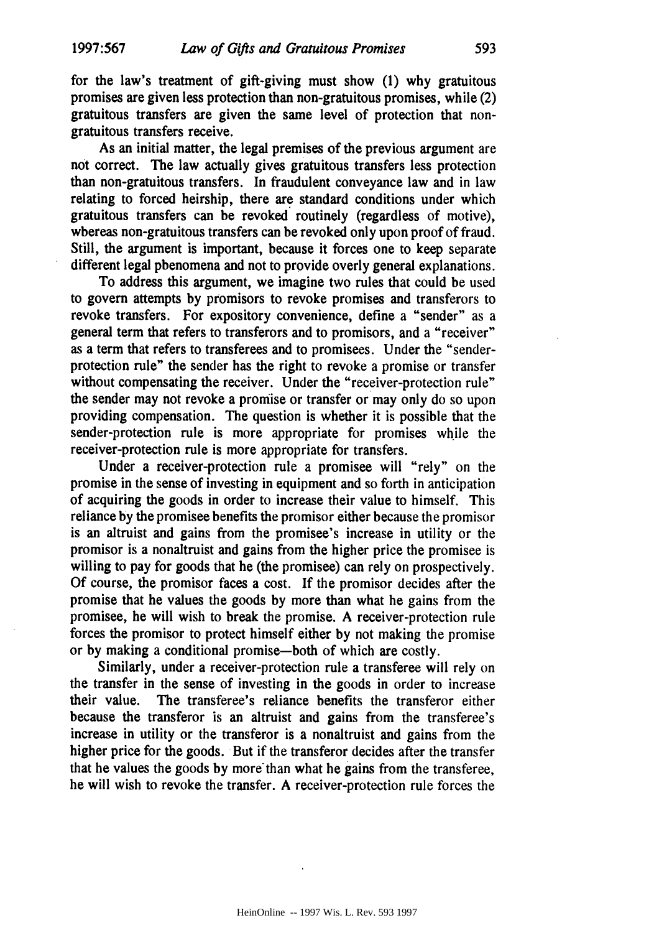for the law's treatment of gift-giving must show **(1)** why gratuitous promises are given less protection than non-gratuitous promises, while (2) gratuitous transfers are given the same level of protection that nongratuitous transfers receive.

As an initial matter, the legal premises of the previous argument are not correct. The law actually gives gratuitous transfers less protection than non-gratuitous transfers. In fraudulent conveyance law and in law relating to forced heirship, there are standard conditions under which gratuitous transfers can be revoked routinely (regardless of motive), whereas non-gratuitous transfers can be revoked only upon proof of fraud. Still, the argument is important, because it forces one to keep separate different legal phenomena and not to provide overly general explanations.

To address this argument, we imagine two rules that could be used to govern attempts **by** promisors to revoke promises and transferors to revoke transfers. For expository convenience, define a "sender" as a general term that refers to transferors and to promisors, and a "receiver" as a term that refers to transferees and to promisees. Under the "senderprotection rule" the sender has the right to revoke a promise or transfer without compensating the receiver. Under the "receiver-protection rule" the sender may not revoke a promise or transfer or may only do so upon providing compensation. The question is whether it is possible that the sender-protection rule is more appropriate for promises while the receiver-protection rule is more appropriate for transfers.

Under a receiver-protection rule a promisee will "rely" on the promise in the sense of investing in equipment and so forth in anticipation of acquiring the goods in order to increase their value to himself. This reliance by the promisee benefits the promisor either because the promisor is an altruist and gains from the promisee's increase in utility or the promisor is a nonaltruist and gains from the higher price the promisee is willing to pay for goods that he (the promisee) can rely on prospectively. **Of** course, the promisor faces a cost. **If** the promisor decides after the promise that he values the goods **by** more than what he gains from the promisee, he will wish to break the promise. **A** receiver-protection rule forces the promisor to protect himself either **by** not making the promise or **by** making a conditional promise-both of which are costly.

Similarly, under a receiver-protection rule a transferee will rely on the transfer in the sense of investing in the goods in order to increase their value. The transferee's reliance benefits the transferor either because the transferor is an altruist and gains from the transferee's increase in utility or the transferor is a nonaltruist and gains from the higher price for the goods. But if the transferor decides after the transfer that he values the goods **by** more'than what he gains from the transferee, he will wish to revoke the transfer. **A** receiver-protection rule forces the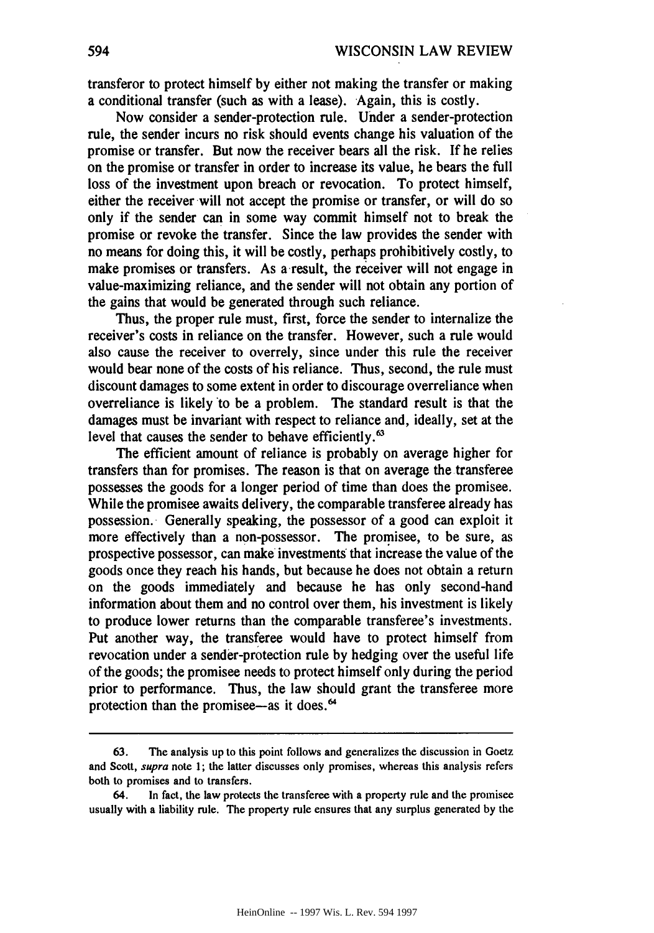transferor to protect himself **by** either not making the transfer or making a conditional transfer (such as with a lease). Again, this is costly.

Now consider a sender-protection rule. Under a sender-protection rule, the sender incurs no risk should events change his valuation of the promise or transfer. But now the receiver bears all the risk. If he relies on the promise or transfer in order to increase its value, he bears the full loss of the investment upon breach or revocation. To protect himself, either the receiver will not accept the promise or transfer, or will do so only if the sender can in some way commit himself not to break the promise or revoke the transfer. Since the law provides the sender with no means for doing this, it will be costly, perhaps prohibitively costly, to make promises or transfers. As a result, the receiver will not engage in value-maximizing reliance, and the sender will not obtain any portion of the gains that would be generated through such reliance.

Thus, the proper rule must, first, force the sender to internalize the receiver's costs in reliance on the transfer. However, such a rule would also cause the receiver to overrely, since under this rule the receiver would bear none of the costs of his reliance. Thus, second, the rule must discount damages to some extent in order to discourage overreliance when overreliance is likely to be a problem. The standard result is that the damages must be invariant with respect to reliance and, ideally, set at the level that causes the sender to behave efficiently.<sup>63</sup>

The efficient amount of reliance is probably on average higher for transfers than for promises. The reason is that on average the transferee possesses the goods for a longer period of time than does the promisee. While the promisee awaits delivery, the comparable transferee already has possession. Generally speaking, the possessor of a good can exploit it more effectively than a non-possessor. The promisee, to be sure, as prospective possessor, can make investments that increase the value of the goods once they reach his hands, but because he does not obtain a return on the goods immediately and because he has only second-hand information about them and no control over them, his investment is likely to produce lower returns than the comparable transferee's investments. Put another way, the transferee would have to protect himself from revocation under a sender-protection rule **by** hedging over the useful life of the goods; the promisee needs to protect himself only during the period prior to performance. Thus, the law should grant the transferee more protection than the promisee—as it does.<sup>64</sup>

**<sup>63.</sup>** The analysis up to this point follows and generalizes the discussion in Goetz and Scott, **supra** note **1;** the latter discusses only promises, whereas this analysis refers both to promises and to transfers.

<sup>64.</sup> In fact, the law protects the transferee with a property rule and the promisee usually with a liability rule. The property rule ensures that any surplus generated **by** the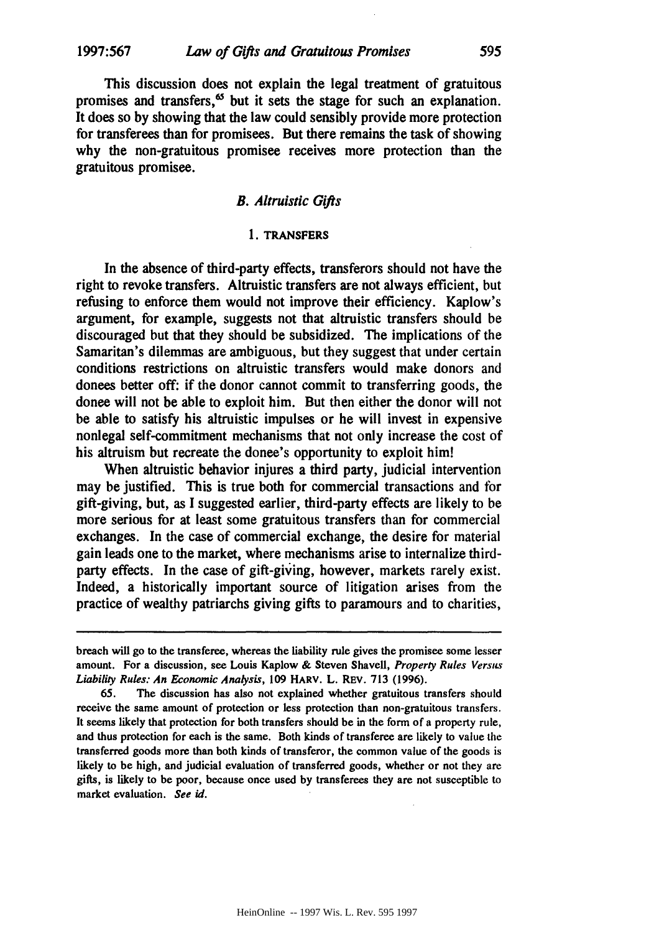This discussion does not explain the legal treatment of gratuitous promises and transfers, $\mathfrak{G}$  but it sets the stage for such an explanation. It does so **by** showing that the law could sensibly provide more protection for transferees than for promisees. But there remains the task of showing why the non-gratuitous promisee receives more protection than the gratuitous promisee.

## *B. Altruistic Gifts*

#### **1. TRANSFERS**

In the absence of third-party effects, transferors should not have the right to revoke transfers. Altruistic transfers are not always efficient, but refusing to enforce them would not improve their efficiency. Kaplow's argument, for example, suggests not that altruistic transfers should be discouraged but that they should be subsidized. The implications of the Samaritan's dilemmas are ambiguous, but they suggest that under certain conditions restrictions on altruistic transfers would make donors and donees better off: if the donor cannot commit to transferring goods, the donee will not be able to exploit him. But then either the donor will not be able to satisfy his altruistic impulses or he will invest in expensive nonlegal self-commitment mechanisms that not only increase the cost of his altruism but recreate the donee's opportunity to exploit him!

When altruistic behavior injures a third party, judicial intervention may be justified. This is true both for commercial transactions and for gift-giving, but, as **I** suggested earlier, third-party effects are likely to be more serious for at least some gratuitous transfers than for commercial exchanges. In the case of commercial exchange, the desire for material gain leads one to the market, where mechanisms arise to internalize thirdparty effects. In the case of gift-giving, however, markets rarely exist. Indeed, a historically important source of litigation arises from the practice of wealthy patriarchs giving gifts to paramours and to charities,

breach will go to the transferee, whereas the liability rule gives the promisee some lesser amount. For a discussion, see Louis Kaplow **&** Steven Shavell, *Property Rules* Versus *Liability Rules: An Economic Analysis,* 109 HARV. L. REV. 713 (1996).

**<sup>65.</sup>** The discussion has also not explained whether gratuitous transfers should receive the same amount of protection or less protection than non-gratuitous transfers. It seems likely that protection for both transfers should be in the form of a property rule, and thus protection for each is the same. Both kinds of transferee are likely to value the transferred goods more than both kinds of transferor, the common value of the goods is likely to be high, and judicial evaluation of transferred goods, whether or not they are gifts, is likely to be poor, because once used by transferees they are not susceptible to market evaluation. See id.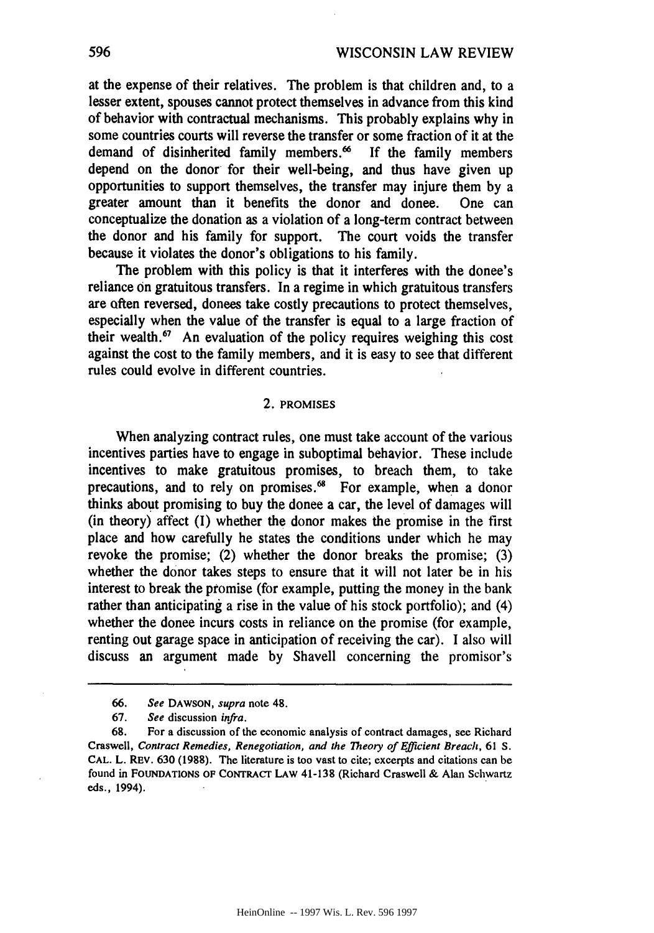at the expense of their relatives. The problem is that children and, to a lesser extent, spouses cannot protect themselves in advance from this kind of behavior with contractual mechanisms. This probably explains why in some countries courts will reverse the transfer or some fraction of it at the demand of disinherited family members.<sup>66</sup> If the family members depend on the donor for their well-being, and thus have given up opportunities to support themselves, the transfer may injure them **by** a greater amount than it benefits the donor and donee. One can conceptualize the donation as a violation of a long-term contract between the donor and his family for support. The court voids the transfer because it violates the donor's obligations to his family.

The problem with this policy is that it interferes with the donee's reliance on gratuitous transfers. In a regime in which gratuitous transfers are often reversed, donees take costly precautions to protect themselves, especially when the value of the transfer is equal to a large fraction of their wealth.<sup>67</sup> An evaluation of the policy requires weighing this cost against the cost to the family members, and it is easy to see that different rules could evolve in different countries.

## 2. PROMISES

When analyzing contract rules, one must take account of the various incentives parties have to engage in suboptimal behavior. These include incentives to make gratuitous promises, to breach them, to take precautions, and to rely on promises.<sup>68</sup> For example, when a donor thinks about promising to buy the donee a car, the level of damages will (in theory) affect (1) whether the donor makes the promise in the first place and how carefully he states the conditions under which he may revoke the promise; (2) whether the donor breaks the promise; (3) whether the donor takes steps to ensure that it will not later be in his interest to break the promise (for example, putting the money in the bank rather than anticipating a rise in the value of his stock portfolio); and (4) whether the donee incurs costs in reliance on the promise (for example, renting out garage space in anticipation of receiving the car). I also will discuss an argument made by Shavell concerning the promisor's

**<sup>66.</sup> See DAWSON,** supra note 48.

**<sup>67.</sup>** See discussion *infra.*

**<sup>68.</sup>** For a discussion of the economic analysis of contract damages, see Richard Craswell, *Contract Remedies, Renegotiation, and the Theory of Efficient Breach,* 61 S. **CAL.** L. REv. **630 (1988).** The literature is too vast to cite; excerpts and citations can be found in FOUNDATIONS OF CONTRAcT LAW 41-138 (Richard Craswell & Alan Schwartz eds., 1994).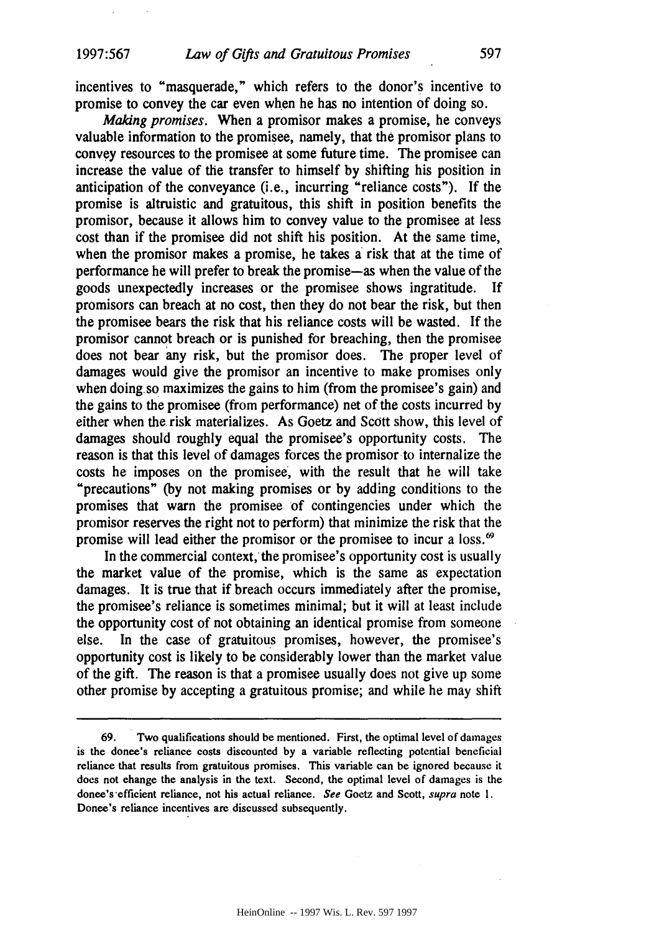incentives to "masquerade," which refers to the donor's incentive to promise to convey the car even when he has no intention of doing so.

*Making promises.* When a promisor makes a promise, he conveys valuable information to the promisee, namely, that the promisor plans to convey resources to the promisee at some future time. The promisee can increase the value of the transfer to himself **by** shifting his position in anticipation of the conveyance (i.e., incurring "reliance costs"). **If** the promise is altruistic and gratuitous, this shift in position benefits the promisor, because it allows him to convey value to the promisee at less cost than if the promisee did not shift his position. At the same time, when the promisor makes a promise, he takes a risk that at the time of performance he will prefer to break the promise-as when the value of the goods unexpectedly increases or the promisee shows ingratitude. **If** promisors can breach at no cost, then they do not bear the risk, but then the promisee bears the risk that his reliance costs will be wasted. **If** the promisor cannot breach or is punished for breaching, then the promisee does not bear any risk, but the promisor does. The proper level of damages would give the promisor an incentive to make promises only when doing.so maximizes the gains to him (from the promisee's gain) and the gains to the promisee (from performance) net of the costs incurred **by** either when the risk materializes. As Goetz and Scott show, this level of damages should roughly equal the promisee's opportunity costs. The reason is that this level of damages forces the promisor to internalize the costs he imposes on the promisee, with the result that he will take "precautions" **(by** not making promises or **by** adding conditions to the promises that warn the promisee of contingencies under which the promisor reserves the right not to perform) that minimize the risk that the promise will lead either the promisor or the promisee to incur a loss.'

In the commercial context, the promisee's opportunity cost is usually the market value of the promise, which is the same as expectation damages. It is true that if breach occurs immediately after the promise, the promisee's reliance is sometimes minimal; but it will at least include the opportunity cost of not obtaining an identical promise from someone else. In the case of gratuitous promises, however, the promisee's opportunity cost is likely to be considerably lower than the market value of the gift. The reason is that a promisee usually does not give up some other promise **by** accepting a gratuitous promise; and while he may shift

**<sup>69.</sup>** Two qualifications should be mentioned. First, the optimal level of damages is the donee's reliance costs discounted **by** a variable reflecting potential beneficial reliance that results from gratuitous promises. This variable can be ignored because it does not change the analysis in the text. Second, the optimal level of damages is the donee's efficient reliance, not his actual reliance. See Goetz and Scott, supra note **1.** Donee's reliance incentives are discussed subsequently.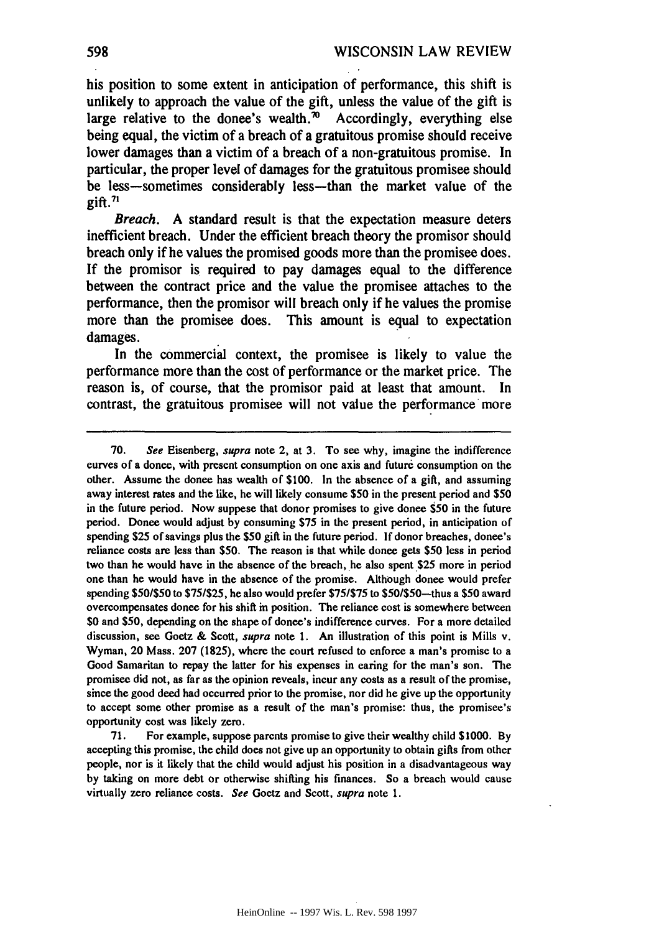his position to some extent in anticipation of performance, this shift is unlikely to approach the value of the gift, unless the value of the gift is large relative to the donee's wealth.<sup>70</sup> Accordingly, everything else being equal, the victim of a breach of a gratuitous promise should receive lower damages than a victim of a breach of a non-gratuitous promise. In particular, the proper level of damages for the gratuitous promisee should be less-sometimes considerably less-than the market value of the gift. $71$ 

*Breach.* **A** standard result is that the expectation measure deters inefficient breach. Under the efficient breach theory the promisor should breach only if he values the promised goods more than the promisee does. If the promisor is required to pay damages equal to the difference between the contract price and the value the promisee attaches to the performance, then the promisor will breach only if he values the promise more than the promisee does. This amount is equal to expectation damages.

In the commercial context, the promisee is likely to value the performance more than the cost of performance or the market price. The reason is, of course, that the promisor paid at least that amount. In contrast, the gratuitous promisee will not value the performance more

71. For example, suppose parents promise to give their wealthy child **\$1000.** By accepting this promise, the child does not give up an opportunity to obtain gifts from other people, nor is it likely that the child would adjust his position in a disadvantageous way **by** taking on more debt or otherwise shifting his finances. So a breach would cause virtually zero reliance costs. See Goetz and Scott, supra note 1.

**<sup>70.</sup>** See Eisenberg, supra note 2, at **3.** To see why, imagine the indifference curves of a donee, with present consumption on one axis and future consumption on the other. Assume the donee has wealth of **\$100.** In the absence of a gift, and assuming away interest rates and the like, he will likely consume **\$50** in the present period and **\$50** in the future period. Now suppese that donor promises to give donee \$50 in the future period. Donee would adjust **by** consuming **\$75** in the present period, in anticipation of spending **\$25** of savings plus the **\$50** gift in the future period. **If** donor breaches, donee's reliance costs are less than **\$50.** The reason is that while donee gets **\$50** less in period two than he would have in the absence of the breach, he also spent \$25 more in period one than he would have in the absence of the promise. Although donee would prefer spending **\$501\$50** to **\$751\$25,** he also would prefer **\$751\$75** to \$50/\$50-thus a **\$50** award overcompensates donee for his shift in position. The reliance cost is somewhere between **\$0** and **\$50,** depending on the shape of donee's indifference curves. For a more detailed discussion, see Goetz **&** Scott, supra note **1.** An illustration of this point is Mills v. Wyman, 20 Mass. **207 (1825),** where the court refused to enforce a man's promise to a Good Samaritan to repay the latter for his expenses in caring for the man's son. The promisee did not, as far as the opinion reveals, incur any costs as a result of the promise, since the good deed had occurred prior to the promise, nor did he give up the opportunity to accept some other promise as a result of the man's promise: thus, the promisee's opportunity cost was likely zero.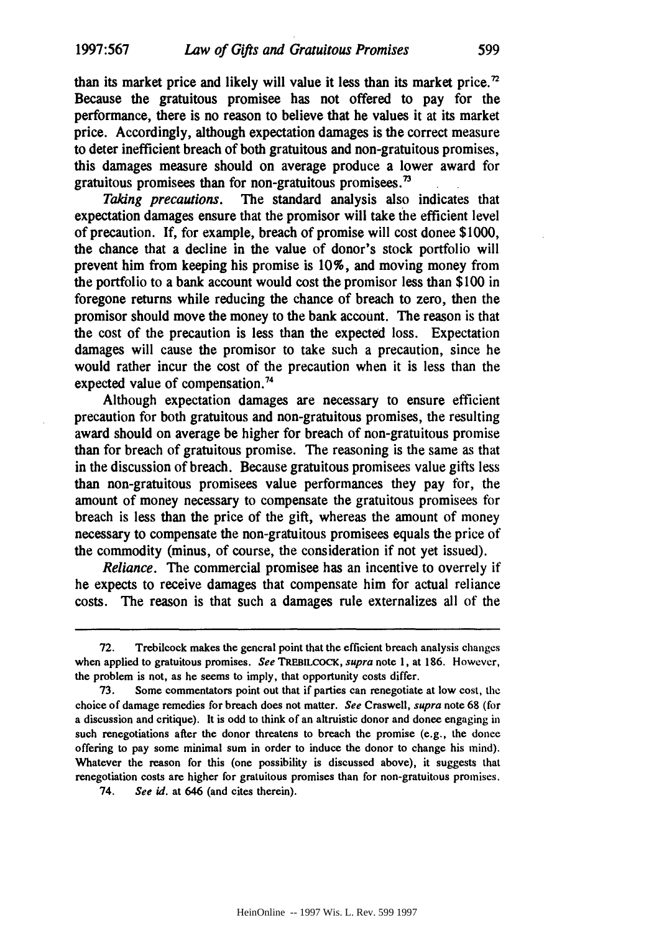than its market price and likely will value it less than its market price.<sup>72</sup> Because the gratuitous promisee has not offered to pay for the performance, there is no reason to believe that he values it at its market price. Accordingly, although expectation damages is the correct measure to deter inefficient breach of both gratuitous and non-gratuitous promises, this damages measure should on average produce a lower award for gratuitous promisees than for non-gratuitous promisees. $<sup>73</sup>$ </sup>

*Taking precautions.* The standard analysis also indicates that expectation damages ensure that the promisor will take the efficient level of precaution. **If,** for example, breach of promise will cost donee **\$1000,** the chance that a decline in the value of donor's stock portfolio will prevent him from keeping his promise is **10%,** and moving money from the portfolio to a bank account would cost the promisor less than **\$100** in foregone returns while reducing the chance of breach to zero, then the promisor should move the money to the bank account. The reason is that the cost of the precaution is less than the expected loss. Expectation damages will cause the promisor to take such a precaution, since he would rather incur the cost of the precaution when it is less than the expected value of compensation.<sup>74</sup>

Although expectation damages are necessary to ensure efficient precaution for both gratuitous and non-gratuitous promises, the resulting award should on average be higher for breach of non-gratuitous promise than for breach of gratuitous promise. The reasoning is the same as that in the discussion of breach. Because gratuitous promisees value gifts less than non-gratuitous promisees value performances they pay for, the amount of money necessary to compensate the gratuitous promisees for breach is less than the price of the gift, whereas the amount of money necessary to compensate the non-gratuitous promisees equals the price of the commodity (minus, of course, the consideration if not yet issued).

*Reliance. The* commercial promisee has an incentive to overrely if he expects to receive damages that compensate him for actual reliance costs. The reason is that such a damages rule externalizes all of the

**<sup>72.</sup>** Trebilcock makes the general point that the efficient breach analysis changes when applied to gratuitous promises. See TREBILCOCK, supra note **1,** at **186.** However, the problem is not, as he seems to imply, that opportunity costs differ.

**<sup>73.</sup>** Some commentators point out that if parties can renegotiate at low cost, the choice of damage remedies for breach does not matter. See Craswell, supra note **68** (for a discussion and critique). It is odd to think of an altruistic donor and donee engaging in such renegotiations after the donor threatens to breach the promise (e.g., the donee offering to pay some minimal sum in order to induce the donor to change his mind). Whatever the reason for this (one possibility is discussed above), it suggests that renegotiation costs are higher for gratuitous promises than for non-gratuitous promises.

<sup>74.</sup> **See id.** at 646 (and cites therein).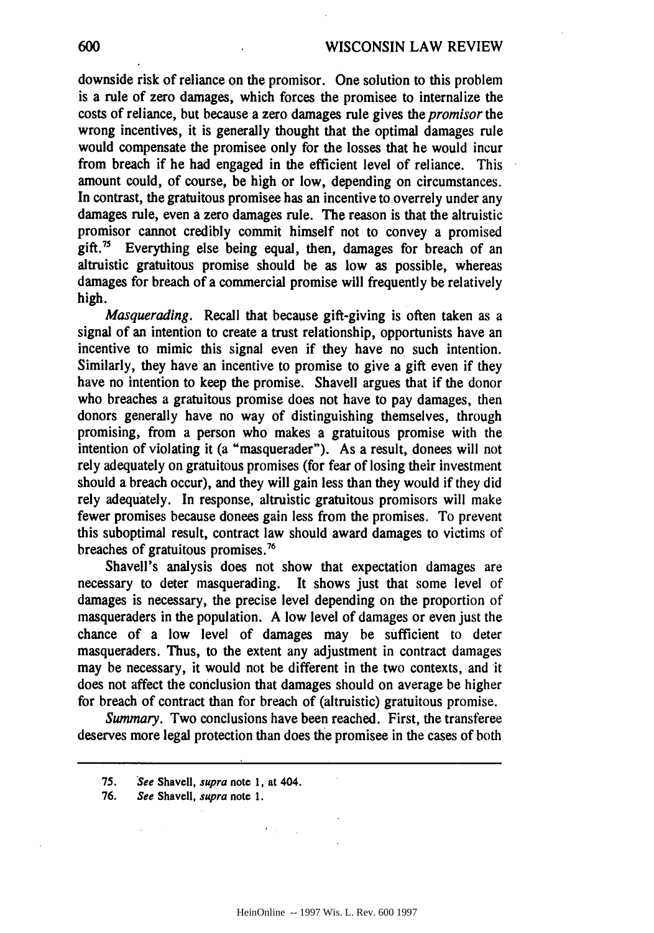downside risk of reliance on the promisor. One solution to this problem is a rule of zero damages, which forces the promisee to internalize the costs of reliance, but because a zero damages rule gives the *promisor* the wrong incentives, it is generally thought that the optimal damages rule would compensate the promisee only for the losses that he would incur from breach if he had engaged in the efficient level of reliance. This amount could, of course, be high or low, depending on circumstances. In contrast, the gratuitous promisee has an incentive to overrely under any damages rule, even a zero damages rule. The reason is that the altruistic promisor cannot credibly commit himself not to convey a promised gift.<sup>75</sup> Everything else being equal, then, damages for breach of an altruistic gratuitous promise should be as low as possible, whereas damages for breach of a commercial promise will frequently be relatively high.

*Masquerading.* Recall that because gift-giving is often taken as a signal of an intention to create a trust relationship, opportunists have an incentive to mimic this signal even if they have no such intention. Similarly, they have an incentive to promise to give a gift even if they have no intention to keep the promise. Shavell argues that if the donor who breaches a gratuitous promise does not have to pay damages, then donors generally have no way of distinguishing themselves, through promising, from a person who makes a gratuitous promise with the intention of violating it (a "masquerader"). As a result, donees will not rely adequately on gratuitous promises (for fear of losing their investment should a breach occur), and they will gain less than they would if they did rely adequately. In response, altruistic gratuitous promisors will make fewer promises because donees gain less from the promises. To prevent this suboptimal result, contract law should award damages to victims of breaches of gratuitous promises.<sup>76</sup>

Shavell's analysis does not show that expectation damages are necessary to deter masquerading. It shows just that some level of damages is necessary, the precise level depending on the proportion of masqueraders in the population. A low level of damages or even just the chance of a low level of damages may be sufficient to deter masqueraders. Thus, to the extent any adjustment in contract damages may be necessary, it would not be different in the two contexts, and it does not affect the conclusion that damages should on average be higher for breach of contract than for breach of (altruistic) gratuitous promise.

*Summary.* Two conclusions have been reached. First, the transferee deserves more legal protection than does the promisee in the cases of both

 $\mathcal{F}(\mathcal{A})$  and

600

<sup>75.</sup> See Shavell, supra note **1,** at 404.

**<sup>76.</sup>** See Shavell, supra note 1.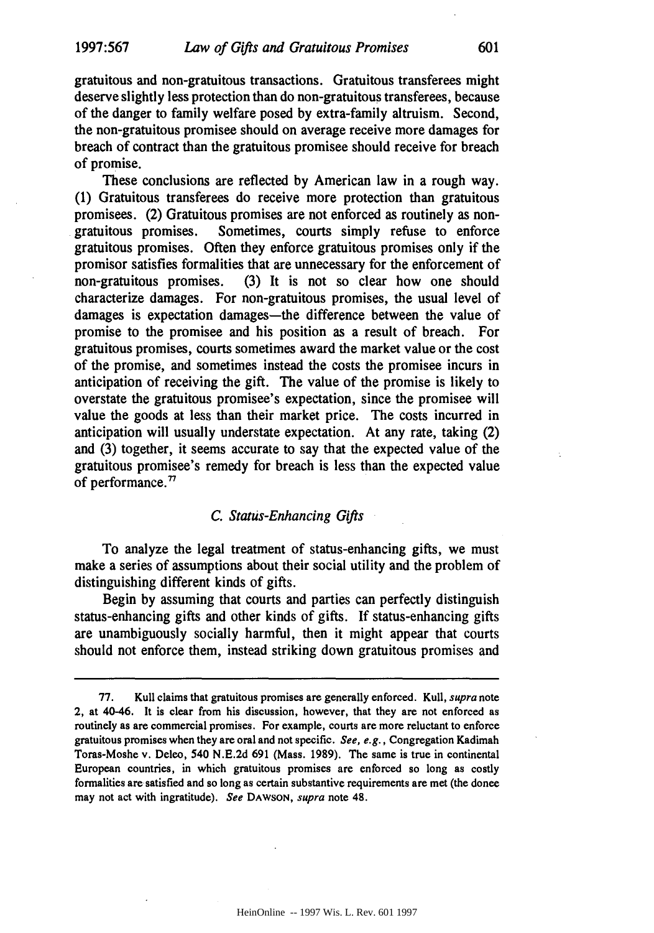gratuitous and non-gratuitous transactions. Gratuitous transferees might deserve slightly less protection than do non-gratuitous transferees, because of the danger to family welfare posed by extra-family altruism. Second, the non-gratuitous promisee should on average receive more damages for breach of contract than the gratuitous promisee should receive for breach of promise.

These conclusions are reflected by American law in a rough way. (1) Gratuitous transferees do receive more protection than gratuitous promisees. (2) Gratuitous promises are not enforced as routinely as nongratuitous promises. Sometimes, courts simply refuse to enforce gratuitous promises. Often they enforce gratuitous promises only if the promisor satisfies formalities that are unnecessary for the enforcement of non-gratuitous promises. (3) It is not so clear how one should characterize damages. For non-gratuitous promises, the usual level of damages is expectation damages—the difference between the value of promise to the promisee and his position as a result of breach. For gratuitous promises, courts sometimes award the market value or the cost of the promise, and sometimes instead the costs the promisee incurs in anticipation of receiving the gift. The value of the promise is likely to overstate the gratuitous promisee's expectation, since the promisee will value the goods at less than their market price. The costs incurred in anticipation will usually understate expectation. At any rate, taking (2) and (3) together, it seems accurate to say that the expected value of the gratuitous promisee's remedy for breach is less than the expected value of performance. $77$ 

## *C. Status-Enhancing Gifts*

To analyze the legal treatment of status-enhancing gifts, we must make a series of assumptions about their social utility and the problem of distinguishing different kinds of gifts.

Begin by assuming that courts and parties can perfectly distinguish status-enhancing gifts and other kinds of gifts. If status-enhancing gifts are unambiguously socially harmful, then it might appear that courts should not enforce them, instead striking down gratuitous promises and

<sup>77.</sup> Kull claims that gratuitous promises are generally enforced. Kull, supra note 2, at 40-46. It is clear from his discussion, however, that they are not enforced as routinely as are commercial promises. For example, courts are more reluctant to enforce gratuitous promises when they are oral and not specific. See, e.g., Congregation Kadimah Toras-Moshe v. Deleo, 540 N.E.2d 691 (Mass. 1989). The same is true in continental European countries, in which gratuitous promises are enforced so long as costly formalities are satisfied and so long as certain substantive requirements are met (the donee may not act with ingratitude). *See* DAWSON, supra note 48.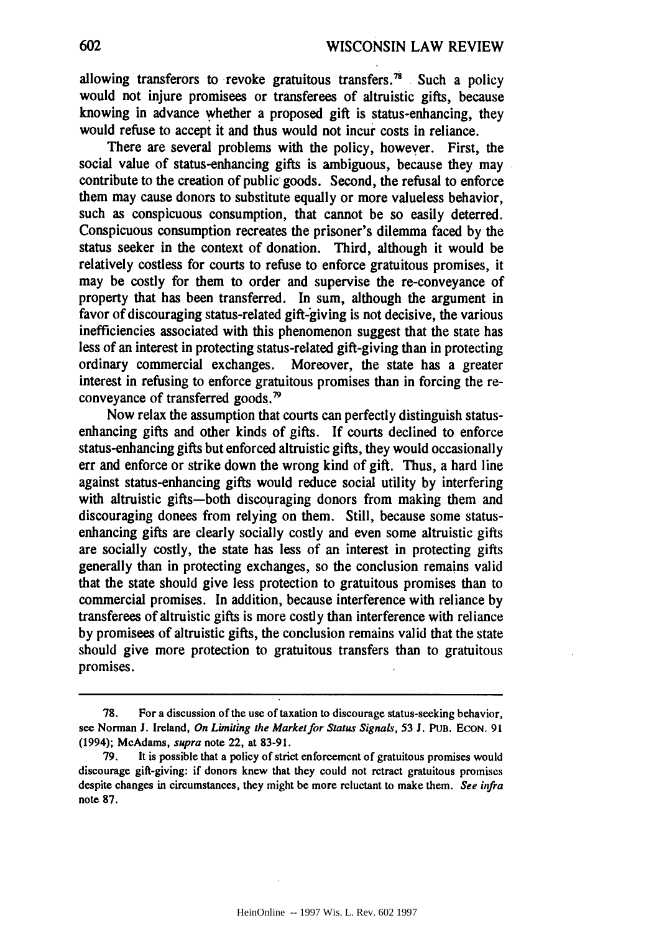allowing transferors to revoke gratuitous transfers.<sup>78</sup> Such a policy would not injure promisees or transferees of altruistic gifts, because knowing in advance whether a proposed gift is status-enhancing, they would refuse to accept it and thus would not incur costs in reliance.

There are several problems with the policy, however. First, the social value of status-enhancing gifts is ambiguous, because they may contribute to the creation of public goods. Second, the refusal to enforce them may cause donors to substitute equally or more valueless behavior, such as conspicuous consumption, that cannot be so easily deterred. Conspicuous consumption recreates the prisoner's dilemma faced **by** the status seeker in the context of donation. Third, although it would be relatively costless for courts to refuse to enforce gratuitous promises, it may be costly for them to order and supervise the re-conveyance of property that has been transferred. In sum, although the argument in favor of discouraging status-related gift-giving is not decisive, the various inefficiencies associated with this phenomenon suggest that the state has less of an interest in protecting status-related gift-giving than in protecting ordinary commercial exchanges. Moreover, the state has a greater interest in refusing to enforce gratuitous promises than in forcing the reconveyance of transferred goods.<sup>79</sup>

Now relax the assumption that courts can perfectly distinguish statusenhancing gifts and other kinds of gifts. **If** courts declined to enforce status-enhancing gifts but enforced altruistic gifts, they would occasionally err and enforce or strike down the wrong kind of gift. Thus, a hard line against status-enhancing gifts would reduce social utility **by** interfering with altruistic gifts-both discouraging donors from making them and discouraging donees from relying on them. Still, because some statusenhancing gifts are clearly socially costly and even some altruistic gifts are socially costly, the state has less of an interest in protecting gifts generally than in protecting exchanges, so the conclusion remains valid that the state should give less protection to gratuitous promises than to commercial promises. In addition, because interference with reliance **by** transferees of altruistic gifts is more costly than interference with reliance **by** promisees of altruistic gifts, the conclusion remains valid that the state should give more protection to gratuitous transfers than to gratuitous promises.

**<sup>78.</sup>** For a discussion of the use of taxation to discourage status-seeking behavior, see Norman **J.** Ireland, **On Limiting the Market for** Status Signals, **53 J.** PuB. **ECON.** 91 (1994); McAdams, **supra** note 22, at 83-91.

<sup>79.</sup> It is possible that a policy of strict enforcement of gratuitous promises would discourage gift-giving: if donors knew that they could not retract gratuitous promises despite changes in circumstances, they might be more reluctant to make them. *See infra* note **87.**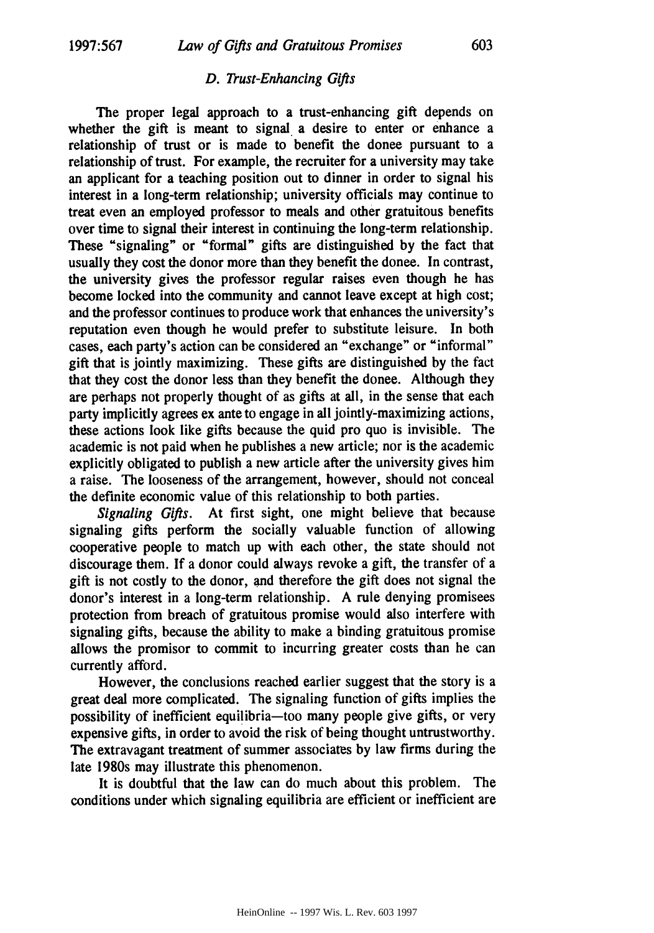#### *D. Trust-Enhancing Gifts*

The proper legal approach to a trust-enhancing gift depends on whether the gift is meant to signal a desire to enter or enhance a relationship of trust or is made to benefit the donee pursuant to a relationship of trust. For example, the recruiter for a university may take an applicant for a teaching position out to dinner in order to signal his interest in a long-term relationship; university officials may continue to treat even an employed professor to meals and other gratuitous benefits over time to signal their interest in continuing the long-term relationship. These "signaling" or "formal" gifts are distinguished **by** the fact that usually they cost the donor more than they benefit the donee. In contrast, the university gives the professor regular raises even though he has become locked into the community and cannot leave except at high cost; and the professor continues to produce work that enhances the university's reputation even though he would prefer to substitute leisure. In both cases, each party's action can be considered an "exchange" or "informal" gift that is jointly maximizing. These gifts are distinguished **by** the fact that they cost the donor less than they benefit the donee. Although they are perhaps not properly thought of as gifts at all, in the sense that each party implicitly agrees ex ante to engage in all jointly-maximizing actions, these actions look like gifts because the quid pro quo is invisible. The academic is not paid when he publishes a new article; nor is the academic explicitly obligated to publish a new article after the university gives him a raise. The looseness of the arrangement, however, should not conceal the definite economic value of this relationship to both parties.

*Signaling Gifts.* At first sight, one might believe that because signaling gifts perform the socially valuable function of allowing cooperative people to match up with each other, the state should not discourage them. **If** a donor could always revoke a gift, the transfer of a gift is not costly to the donor, and therefore the gift does not signal the donor's interest in a long-term relationship. **A** rule denying promisees protection from breach of gratuitous promise would also interfere with signaling gifts, because the ability to make a binding gratuitous promise allows the promisor to commit to incurring greater costs than he can currently afford.

However, the conclusions reached earlier suggest that the story is a great deal more complicated. The signaling function of gifts implies the possibility of inefficient equilibria-too many people give gifts, or very expensive gifts, in order to avoid the risk of being thought untrustworthy. The extravagant treatment of summer associates **by** law firms during the late 1980s may illustrate this phenomenon.

It is doubtful that the law can do much about this problem. The conditions under which signaling equilibria are efficient or inefficient are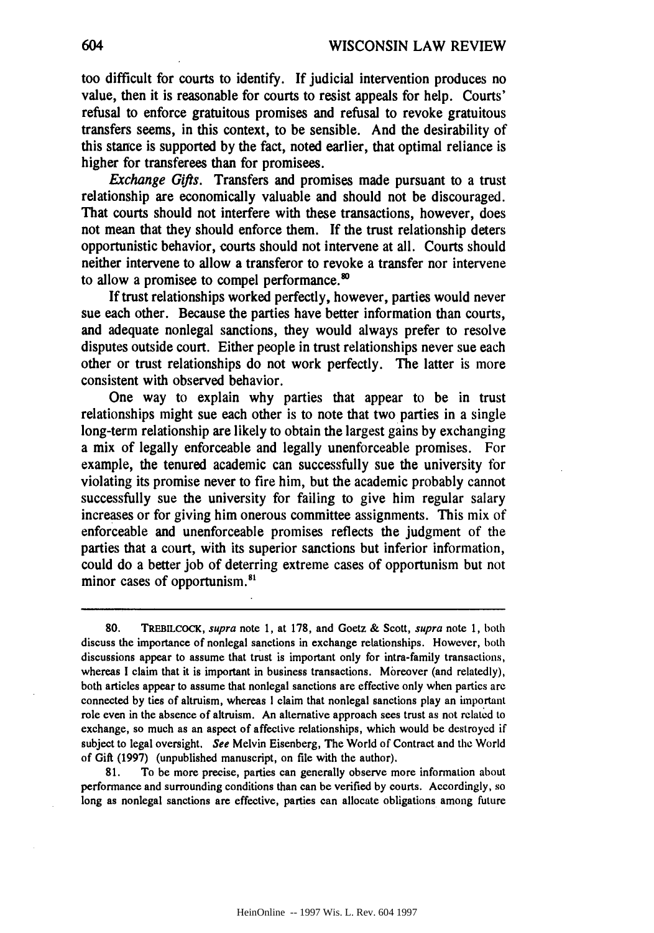too difficult for courts to identify. If judicial intervention produces no value, then it is reasonable for courts to resist appeals for help. Courts' refusal to enforce gratuitous promises and refusal to revoke gratuitous transfers seems, in this context, to be sensible. And the desirability of this stance is supported by the fact, noted earlier, that optimal reliance is higher for transferees than for promisees.

*Exchange Gifts.* Transfers and promises made pursuant to a trust relationship are economically valuable and should not be discouraged. That courts should not interfere with these transactions, however, does not mean that they should enforce them. If the trust relationship deters opportunistic behavior, courts should not intervene at all. Courts should neither intervene to allow a transferor to revoke a transfer nor intervene to allow a promisee to compel performance.<sup>80</sup>

If trust relationships worked perfectly, however, parties would never sue each other. Because the parties have better information than courts, and adequate nonlegal sanctions, they would always prefer to resolve disputes outside court. Either people in trust relationships never sue each other or trust relationships do not work perfectly. The latter is more consistent with observed behavior.

One way to explain why parties that appear to be in trust relationships might sue each other is to note that two parties in a single long-term relationship are likely to obtain the largest gains by exchanging a mix of legally enforceable and legally unenforceable promises. For example, the tenured academic can successfully sue the university for violating its promise never to fire him, but the academic probably cannot successfully sue the university for failing to give him regular salary increases or for giving him onerous committee assignments. This mix of enforceable and unenforceable promises reflects the judgment of the parties that a court, With its superior sanctions but inferior information, could do a better job of deterring extreme cases of opportunism but not minor cases of opportunism.<sup>81</sup>

80. TREBILCOCK, supra note 1, at 178, and Goetz & Scott, supra note 1, both discuss the importance of nonlegal sanctions in exchange relationships. However, both discussions appear to assume that trust is important only for intra-family transactions, whereas I claim that it is important in business transactions. Moreover (and relatedly), both articles appear to assume that nonlegal sanctions are effective only when parties are connected **by** ties of altruism, whereas I claim that nonlegal sanctions play an important role even in the absence of altruism. An alternative approach sees trust as not related to exchange, so much as an aspect of affective relationships, which would be destroyed if subject to legal oversight. See Melvin Eisenberg, The World of Contract and the World of Gift (1997) (unpublished manuscript, on file with the author).

81. To be more precise, parties can generally observe more information about performance and surrounding conditions than can be verified **by** courts. Accordingly, so long as nonlegal sanctions are effective, parties can allocate obligations among future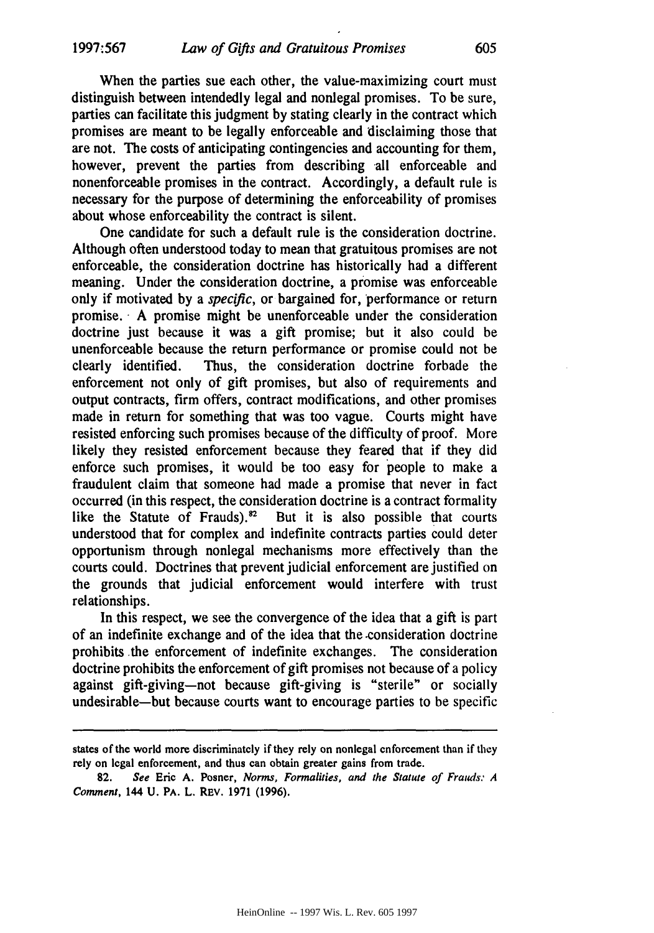When the parties sue each other, the value-maximizing court must distinguish between intendedly legal and nonlegal promises. To be sure, parties can facilitate this judgment by stating clearly in the contract which promises are meant to be legally enforceable and disclaiming those that are not. The costs of anticipating contingencies and accounting for them, however, prevent the parties from describing all enforceable and nonenforceable promises in the contract. Accordingly, a default rule is necessary for the purpose of determining the enforceability of promises about whose enforceability the contract is silent.

One candidate for such a default rule is the consideration doctrine. Although often understood today to mean that gratuitous promises are not enforceable, the consideration doctrine has historically had a different meaning. Under the consideration doctrine, a promise was enforceable only if motivated **by** a *specific,* or bargained for, performance or return promise. **- A** promise might be unenforceable under the consideration doctrine just because it was a gift promise; but it also could be unenforceable because the return performance or promise could not be clearly identified. Thus, the consideration doctrine forbade the enforcement not only of gift promises, but also of requirements and output contracts, firm offers, contract modifications, and other promises made in return for something that was too vague. Courts might have resisted enforcing such promises because of the difficulty of proof. More likely they resisted enforcement because they feared that if they did enforce such promises, it would be too easy for people to make a fraudulent claim that someone had made a promise that never in fact occurred (in this respect, the consideration doctrine is a contract formality like the Statute of Frauds). $^{82}$  But it is also possible that courts understood that for complex and indefinite contracts parties could deter opportunism through nonlegal mechanisms more effectively than the courts could. Doctrines that prevent judicial enforcement are justified on the grounds that judicial enforcement would interfere with trust relationships.

In this respect, we see the convergence of the idea that a gift is part of an indefinite exchange and of the idea that the -consideration doctrine prohibits .the enforcement of indefinite exchanges. The consideration doctrine prohibits the enforcement of gift promises not because of a policy against gift-giving-not because gift-giving is "sterile" or socially undesirable-but because courts want to encourage parties to be specific

**states of** the **world** more **discriminately if** they rely **on nonlegal** enforcement than if they rely on legal enforcement, and thus can obtain greater gains from trade.

**<sup>82.</sup> See** Eric **A.** Posner, *Norms, Formalities, and the Statute of Frauds: A Comment,* 144 **U. PA.** L. REv. **1971 (1996).**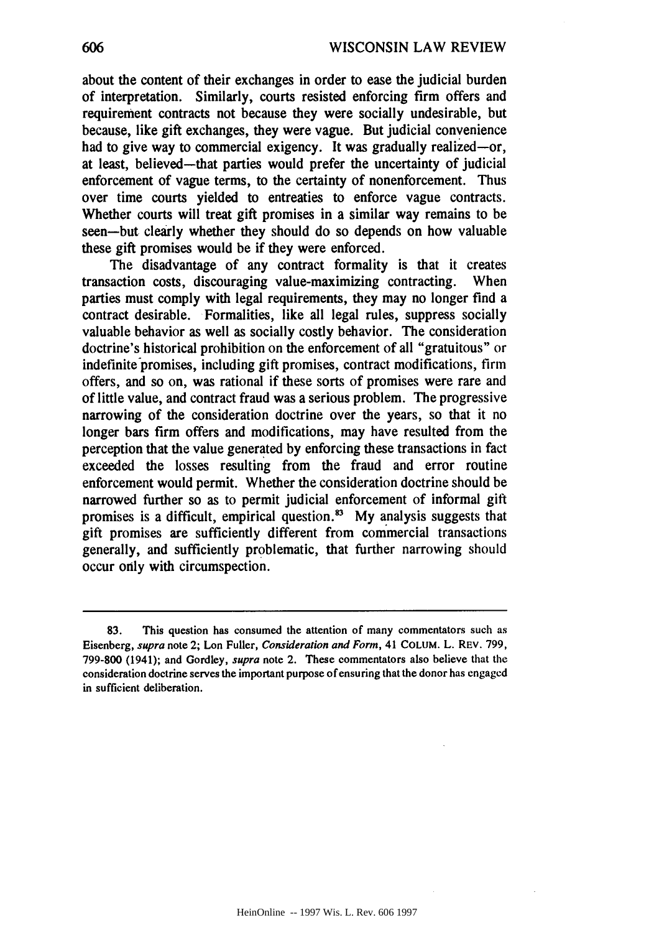about the content of their exchanges in order to ease the judicial burden of interpretation. Similarly, courts resisted enforcing firm offers and requirement contracts not because they were socially undesirable, but because, like gift exchanges, they were vague. But judicial convenience had to give way to commercial exigency. It was gradually realized-or, at least, believed-that parties would prefer the uncertainty of judicial enforcement of vague terms, to the certainty of nonenforcement. Thus over time courts yielded to entreaties to enforce vague contracts. Whether courts will treat gift promises in a similar way remains to be seen-but clearly whether they should do so depends on how valuable these gift promises would be if they were enforced.

The disadvantage of any contract formality is that it creates transaction costs, discouraging value-maximizing contracting. When parties must comply with legal requirements, they may no longer find a contract desirable. Formalities, like all legal rules, suppress socially valuable behavior as well as socially costly behavior. The consideration doctrine's historical prohibition on the enforcement of all "gratuitous" or indefinite promises, including gift promises, contract modifications, firm offers, and so on, was rational if these sorts of promises were rare and of little value, and contract fraud was a serious problem. The progressive narrowing of the consideration doctrine over the years, so that it no longer bars firm offers and modifications, may have resulted from the perception that the value generated **by** enforcing these transactions in fact exceeded the losses resulting from the fraud and error routine enforcement would permit. Whether the consideration doctrine should be narrowed further so as to permit judicial enforcement of informal gift promises is a difficult, empirical question.<sup>83</sup> My analysis suggests that gift promises are sufficiently different from commercial transactions generally, and sufficiently problematic, that further narrowing should occur only with circumspection.

**<sup>83.</sup>** This question has consumed the attention of many commentators such as Eisenberg, supra note 2; Lon Fuller, Consideration and Form, 41 **COLUM.** L. REV. 799, 799-800 (1941); and Gordley, supra note 2. These commentators also believe that the consideration doctrine serves the important purpose of ensuring that the donor has engaged in sufficient deliberation.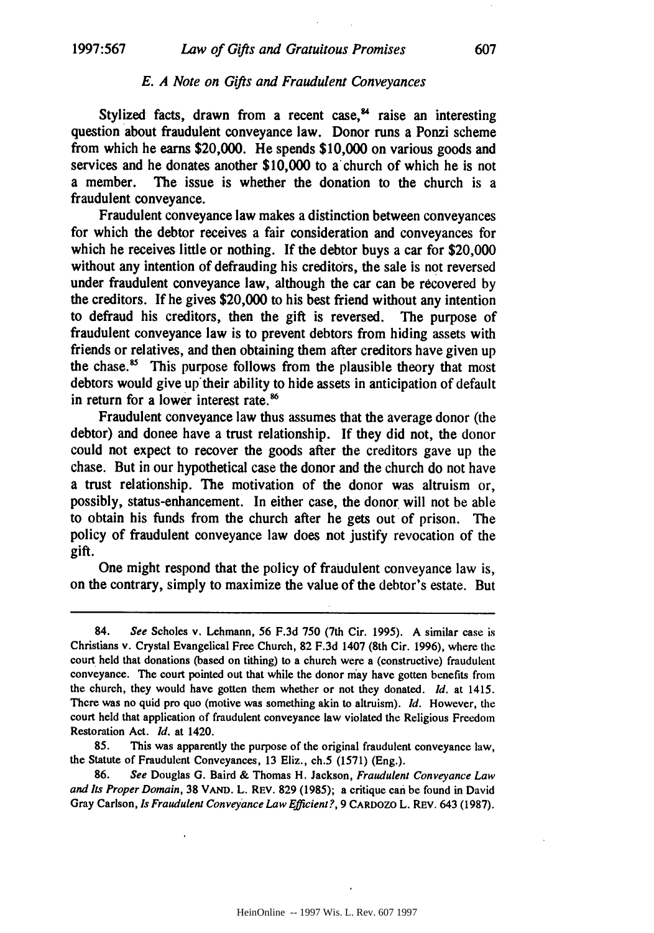#### *E. A Note on Gifts and Fraudulent Conveyances*

Stylized facts, drawn from a recent case, $4$  raise an interesting question about fraudulent conveyance law. Donor runs a Ponzi scheme from which he earns \$20,000. He spends \$10,000 on various goods and services and he donates another \$10,000 to a church of which he is not a member. The issue is whether the donation to the church is a fraudulent conveyance.

Fraudulent conveyance law makes a distinction between conveyances for which the debtor receives a fair consideration and conveyances for which he receives little or nothing. If the debtor buys a car for \$20,000 without any intention of defrauding his creditors, the sale is not reversed under fraudulent conveyance law, although the car can be recovered **by** the creditors. If he gives \$20,000 to his best friend without any intention to defraud his creditors, then the gift is reversed. The purpose of fraudulent conveyance law is to prevent debtors from hiding assets with friends or relatives, and then obtaining them after creditors have given up the chase.<sup>85</sup> This purpose follows from the plausible theory that most debtors would give up their ability to hide assets in anticipation of default in return for a lower interest rate.<sup>86</sup>

Fraudulent conveyance law thus assumes that the average donor (the debtor) and donee have a trust relationship. If they did not, the donor could not expect to recover the goods after the creditors gave up the chase. But in our hypothetical case the donor and the church do not have a trust relationship. The motivation of the donor was altruism or, possibly, status-enhancement. In either case, the donor will not be able to obtain his funds from the church after he gets out of prison. The policy of fraudulent conveyance law does not justify revocation of the gift.

One might respond that the policy of fraudulent conveyance law is, on the contrary, simply to maximize the value of the debtor's estate. But

**86.** *See* Douglas G. Baird & Thomas H. Jackson, *Fraudulent Conveyance Law and Its Proper Domain,* **38** VAND. L. REV. **829** (1985); a critique **can** be found in David Gray Carlson, *Is Fraudulent* Conveyance Law Efficient?, 9 CARDOZO L. REV. 643 (1987).

<sup>84.</sup> *See* Scholes v. Lehmann, 56 F.3d 750 (7th Cir. 1995). A similar case is Christians v. Crystal Evangelical Free Church, **82** F.3d 1407 (8th Cir. 1996), where the court held that donations (based on tithing) to a church were a (constructive) fraudulent conveyance. The court pointed out that while the donor may have gotten benefits from the church, they would have gotten them whether or not they donated. *Id.* at 1415. There was no quid pro quo (motive was something akin to altruism). *Id.* However, the court held that application of fraudulent conveyance law violated the Religious Freedom Restoration Act. *Id.* at 1420.

*<sup>85.</sup>* This was apparently the purpose of the original fraudulent conveyance law, the Statute of Fraudulent Conveyances, 13 Eliz., ch.5 (1571) (Eng.).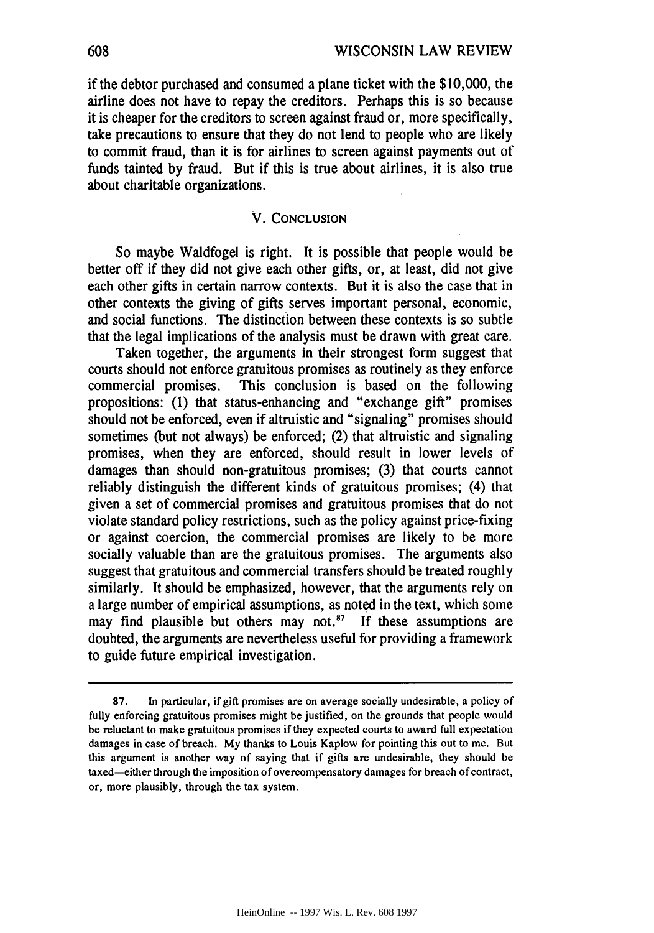if the debtor purchased and consumed a plane ticket with the \$10,000, the airline does not have to repay the creditors. Perhaps this is so because it is cheaper for the creditors to screen against fraud or, more specifically, take precautions to ensure that they do not lend to people who are likely to commit fraud, than it is for airlines to screen against payments out of funds tainted by fraud. But if this is true about airlines, it is also true about charitable organizations.

#### V. **CONCLUSION**

So maybe Waldfogel is right. It is possible that people would be better off if they did not give each other gifts, or, at least, did not give each other gifts in certain narrow contexts. But it is also the case that in other contexts the giving of gifts serves important personal, economic, and social functions. The distinction between these contexts is so subtle that the legal implications of the analysis must be drawn with great care.

Taken together, the arguments in their strongest form suggest that courts should not enforce gratuitous promises as routinely as they enforce commercial promises. This conclusion is based on the following propositions: (1) that status-enhancing and "exchange gift" promises should not be enforced, even if altruistic and "signaling" promises should sometimes (but not always) be enforced; (2) that altruistic and signaling promises, when they are enforced, should result in lower levels of damages than should non-gratuitous promises; (3) that courts cannot reliably distinguish the different kinds of gratuitous promises; (4) that given a set of commercial promises and gratuitous promises that do not violate standard policy restrictions, such as the policy against price-fixing or against coercion, the commercial promises are likely to be more socially valuable than are the gratuitous promises. The arguments also suggest that gratuitous and commercial transfers should be treated roughly similarly. It should be emphasized, however, that the arguments rely on a large number of empirical assumptions, as noted in the text, which some may find plausible but others may not. $s^7$  If these assumptions are doubted, the arguments are nevertheless useful for providing a framework to guide future empirical investigation.

**<sup>87.</sup>** In particular, if gift promises are on average socially undesirable, a policy of fully enforcing gratuitous promises might be justified, on the grounds that people would be reluctant to make gratuitous promises if they expected courts to award full expectation damages in case of breach. My thanks to Louis Kaplow for pointing this out to me. But this argument is another way of saying that if gifts are undesirable, they should be taxed-either through the imposition of overcompensatory damages for breach of contract, or, more plausibly, through the tax system.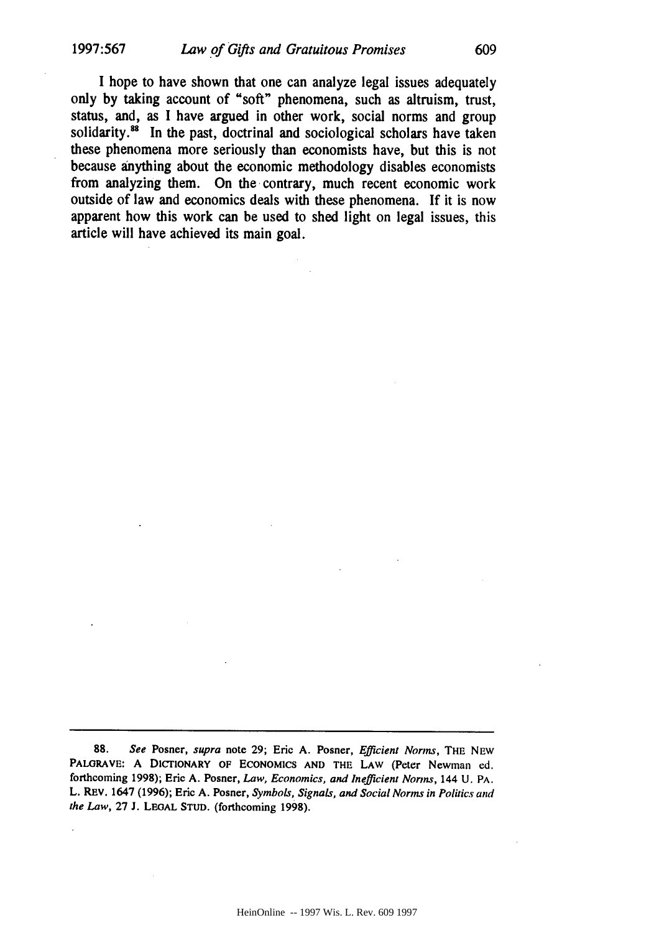I hope to have shown that one can analyze legal issues adequately only by taking account of "soft" phenomena, such as altruism, trust, status, and, as I have argued in other work, social norms and group solidarity.<sup>88</sup> In the past, doctrinal and sociological scholars have taken these phenomena more seriously than economists have, but this is not because anything about the economic methodology disables economists from analyzing them. On the contrary, much recent economic work outside of law and economics deals with these phenomena. If it is now apparent how this work can be used to shed light on legal issues, this article will have achieved its main goal.

**<sup>88.</sup>** *See* Posner, supra note 29; Eric A. Posner, *Efficient Norms,* THE NEW PALORAVE: A DICTIONARY OF ECONOMICS AND THE LAW (Peter Newman ed. forthcoming 1998); Eric A. Posner, *Law, Economics, and Inefficient Norms,* 144 U. PA. L. REv. 1647 (1996); Eric A. Posner, *Symbols, Signals, and Social Norms in Politics and the Law,* 27 **J. LEGAL STUD.** (forthcoming 1998).